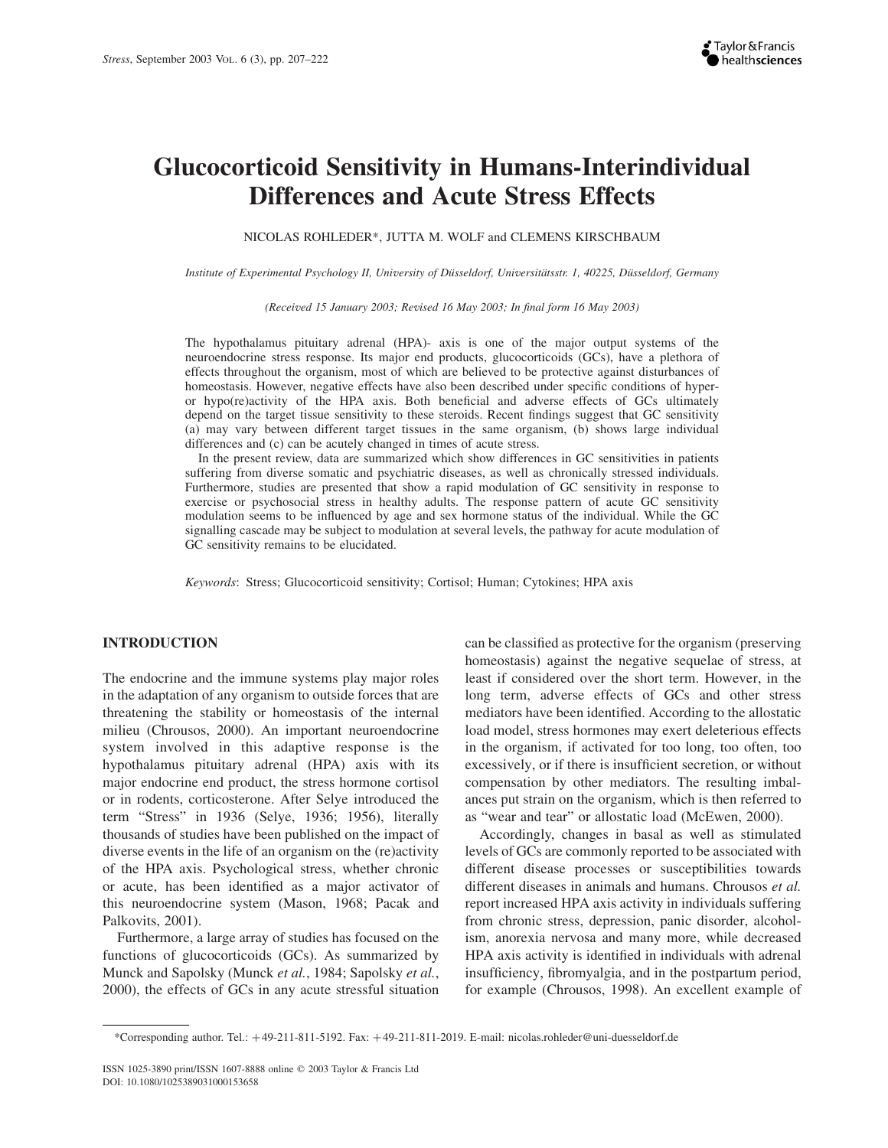# Glucocorticoid Sensitivity in Humans-Interindividual Differences and Acute Stress Effects

NICOLAS ROHLEDER\*, JUTTA M. WOLF and CLEMENS KIRSCHBAUM

Institute of Experimental Psychology II, University of Düsseldorf, Universitätsstr. 1, 40225, Düsseldorf, Germany

(Received 15 January 2003; Revised 16 May 2003; In final form 16 May 2003)

The hypothalamus pituitary adrenal (HPA)- axis is one of the major output systems of the neuroendocrine stress response. Its major end products, glucocorticoids (GCs), have a plethora of effects throughout the organism, most of which are believed to be protective against disturbances of homeostasis. However, negative effects have also been described under specific conditions of hyperor hypo(re)activity of the HPA axis. Both beneficial and adverse effects of GCs ultimately depend on the target tissue sensitivity to these steroids. Recent findings suggest that GC sensitivity (a) may vary between different target tissues in the same organism, (b) shows large individual differences and (c) can be acutely changed in times of acute stress.

In the present review, data are summarized which show differences in GC sensitivities in patients suffering from diverse somatic and psychiatric diseases, as well as chronically stressed individuals. Furthermore, studies are presented that show a rapid modulation of GC sensitivity in response to exercise or psychosocial stress in healthy adults. The response pattern of acute GC sensitivity modulation seems to be influenced by age and sex hormone status of the individual. While the GC signalling cascade may be subject to modulation at several levels, the pathway for acute modulation of GC sensitivity remains to be elucidated.

Keywords: Stress; Glucocorticoid sensitivity; Cortisol; Human; Cytokines; HPA axis

## INTRODUCTION

The endocrine and the immune systems play major roles in the adaptation of any organism to outside forces that are threatening the stability or homeostasis of the internal milieu (Chrousos, 2000). An important neuroendocrine system involved in this adaptive response is the hypothalamus pituitary adrenal (HPA) axis with its major endocrine end product, the stress hormone cortisol or in rodents, corticosterone. After Selye introduced the term "Stress" in 1936 (Selye, 1936; 1956), literally thousands of studies have been published on the impact of diverse events in the life of an organism on the (re)activity of the HPA axis. Psychological stress, whether chronic or acute, has been identified as a major activator of this neuroendocrine system (Mason, 1968; Pacak and Palkovits, 2001).

Furthermore, a large array of studies has focused on the functions of glucocorticoids (GCs). As summarized by Munck and Sapolsky (Munck et al., 1984; Sapolsky et al., 2000), the effects of GCs in any acute stressful situation can be classified as protective for the organism (preserving homeostasis) against the negative sequelae of stress, at least if considered over the short term. However, in the long term, adverse effects of GCs and other stress mediators have been identified. According to the allostatic load model, stress hormones may exert deleterious effects in the organism, if activated for too long, too often, too excessively, or if there is insufficient secretion, or without compensation by other mediators. The resulting imbalances put strain on the organism, which is then referred to as "wear and tear" or allostatic load (McEwen, 2000).

Accordingly, changes in basal as well as stimulated levels of GCs are commonly reported to be associated with different disease processes or susceptibilities towards different diseases in animals and humans. Chrousos et al. report increased HPA axis activity in individuals suffering from chronic stress, depression, panic disorder, alcoholism, anorexia nervosa and many more, while decreased HPA axis activity is identified in individuals with adrenal insufficiency, fibromyalgia, and in the postpartum period, for example (Chrousos, 1998). An excellent example of

<sup>\*</sup>Corresponding author. Tel.: þ49-211-811-5192. Fax: þ49-211-811-2019. E-mail: nicolas.rohleder@uni-duesseldorf.de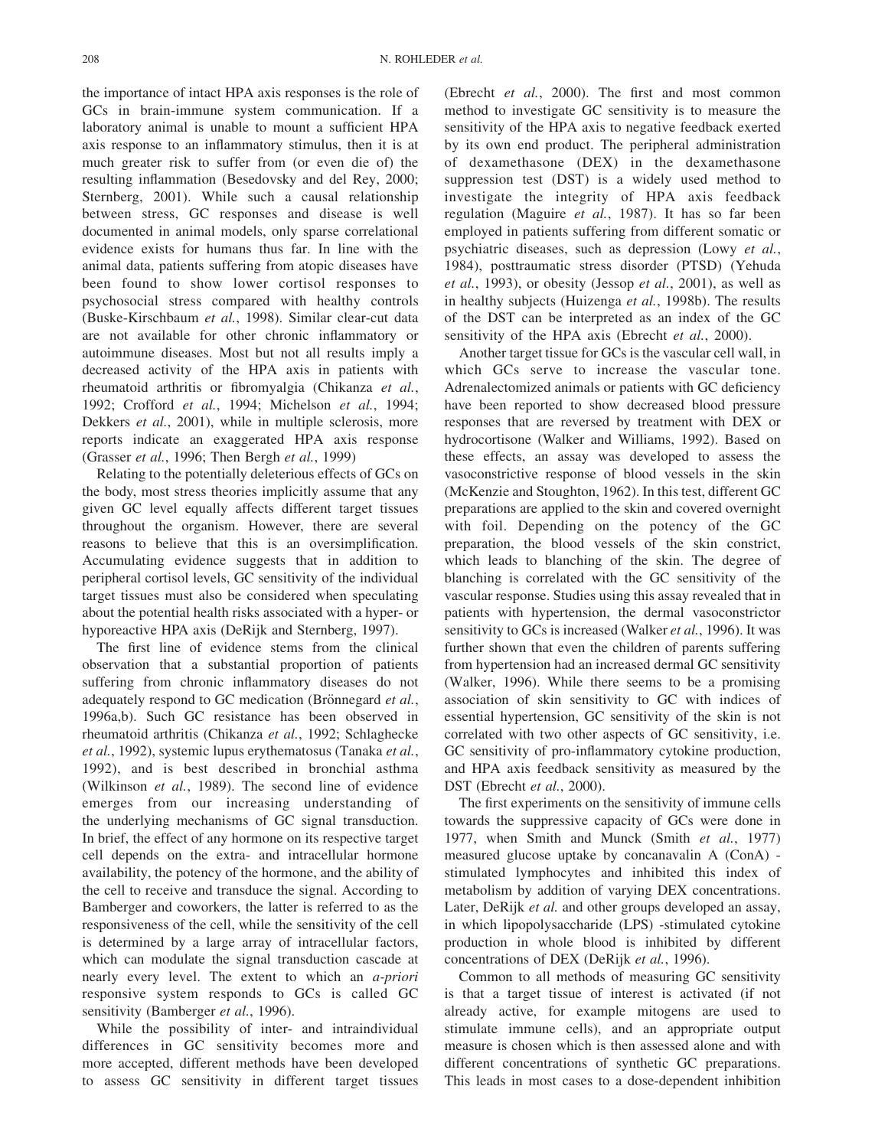the importance of intact HPA axis responses is the role of GCs in brain-immune system communication. If a laboratory animal is unable to mount a sufficient HPA axis response to an inflammatory stimulus, then it is at much greater risk to suffer from (or even die of) the resulting inflammation (Besedovsky and del Rey, 2000; Sternberg, 2001). While such a causal relationship between stress, GC responses and disease is well documented in animal models, only sparse correlational evidence exists for humans thus far. In line with the animal data, patients suffering from atopic diseases have been found to show lower cortisol responses to psychosocial stress compared with healthy controls (Buske-Kirschbaum et al., 1998). Similar clear-cut data are not available for other chronic inflammatory or autoimmune diseases. Most but not all results imply a decreased activity of the HPA axis in patients with rheumatoid arthritis or fibromyalgia (Chikanza et al., 1992; Crofford et al., 1994; Michelson et al., 1994; Dekkers et al., 2001), while in multiple sclerosis, more reports indicate an exaggerated HPA axis response (Grasser et al., 1996; Then Bergh et al., 1999)

Relating to the potentially deleterious effects of GCs on the body, most stress theories implicitly assume that any given GC level equally affects different target tissues throughout the organism. However, there are several reasons to believe that this is an oversimplification. Accumulating evidence suggests that in addition to peripheral cortisol levels, GC sensitivity of the individual target tissues must also be considered when speculating about the potential health risks associated with a hyper- or hyporeactive HPA axis (DeRijk and Sternberg, 1997).

The first line of evidence stems from the clinical observation that a substantial proportion of patients suffering from chronic inflammatory diseases do not adequately respond to GC medication (Brönnegard et al., 1996a,b). Such GC resistance has been observed in rheumatoid arthritis (Chikanza et al., 1992; Schlaghecke et al., 1992), systemic lupus erythematosus (Tanaka et al., 1992), and is best described in bronchial asthma (Wilkinson et al., 1989). The second line of evidence emerges from our increasing understanding of the underlying mechanisms of GC signal transduction. In brief, the effect of any hormone on its respective target cell depends on the extra- and intracellular hormone availability, the potency of the hormone, and the ability of the cell to receive and transduce the signal. According to Bamberger and coworkers, the latter is referred to as the responsiveness of the cell, while the sensitivity of the cell is determined by a large array of intracellular factors, which can modulate the signal transduction cascade at nearly every level. The extent to which an a-priori responsive system responds to GCs is called GC sensitivity (Bamberger et al., 1996).

While the possibility of inter- and intraindividual differences in GC sensitivity becomes more and more accepted, different methods have been developed to assess GC sensitivity in different target tissues (Ebrecht et al., 2000). The first and most common method to investigate GC sensitivity is to measure the sensitivity of the HPA axis to negative feedback exerted by its own end product. The peripheral administration of dexamethasone (DEX) in the dexamethasone suppression test (DST) is a widely used method to investigate the integrity of HPA axis feedback regulation (Maguire et al., 1987). It has so far been employed in patients suffering from different somatic or psychiatric diseases, such as depression (Lowy et al., 1984), posttraumatic stress disorder (PTSD) (Yehuda *et al.*, 1993), or obesity (Jessop *et al.*, 2001), as well as in healthy subjects (Huizenga et al., 1998b). The results of the DST can be interpreted as an index of the GC sensitivity of the HPA axis (Ebrecht et al., 2000).

Another target tissue for GCs is the vascular cell wall, in which GCs serve to increase the vascular tone. Adrenalectomized animals or patients with GC deficiency have been reported to show decreased blood pressure responses that are reversed by treatment with DEX or hydrocortisone (Walker and Williams, 1992). Based on these effects, an assay was developed to assess the vasoconstrictive response of blood vessels in the skin (McKenzie and Stoughton, 1962). In this test, different GC preparations are applied to the skin and covered overnight with foil. Depending on the potency of the GC preparation, the blood vessels of the skin constrict, which leads to blanching of the skin. The degree of blanching is correlated with the GC sensitivity of the vascular response. Studies using this assay revealed that in patients with hypertension, the dermal vasoconstrictor sensitivity to GCs is increased (Walker et al., 1996). It was further shown that even the children of parents suffering from hypertension had an increased dermal GC sensitivity (Walker, 1996). While there seems to be a promising association of skin sensitivity to GC with indices of essential hypertension, GC sensitivity of the skin is not correlated with two other aspects of GC sensitivity, i.e. GC sensitivity of pro-inflammatory cytokine production, and HPA axis feedback sensitivity as measured by the DST (Ebrecht et al., 2000).

The first experiments on the sensitivity of immune cells towards the suppressive capacity of GCs were done in 1977, when Smith and Munck (Smith et al., 1977) measured glucose uptake by concanavalin A (ConA) stimulated lymphocytes and inhibited this index of metabolism by addition of varying DEX concentrations. Later, DeRijk et al. and other groups developed an assay, in which lipopolysaccharide (LPS) -stimulated cytokine production in whole blood is inhibited by different concentrations of DEX (DeRijk et al., 1996).

Common to all methods of measuring GC sensitivity is that a target tissue of interest is activated (if not already active, for example mitogens are used to stimulate immune cells), and an appropriate output measure is chosen which is then assessed alone and with different concentrations of synthetic GC preparations. This leads in most cases to a dose-dependent inhibition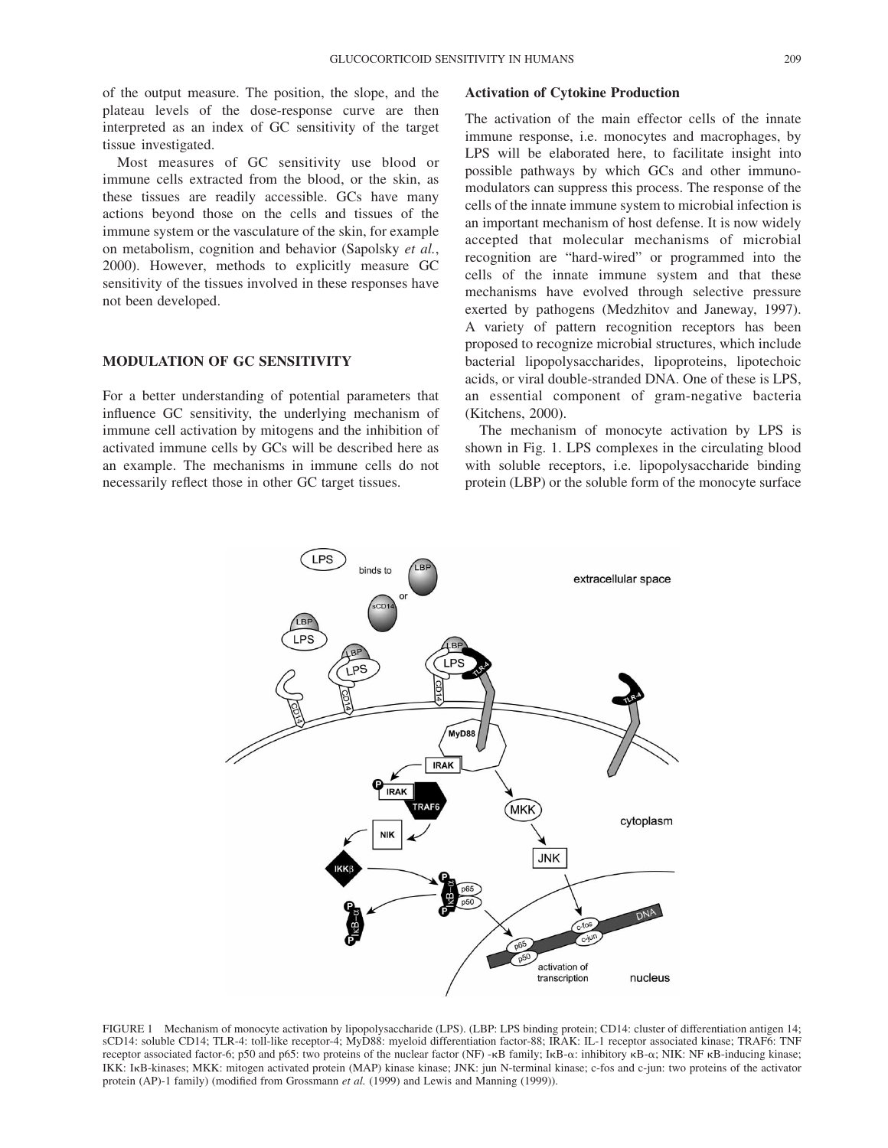of the output measure. The position, the slope, and the plateau levels of the dose-response curve are then interpreted as an index of GC sensitivity of the target tissue investigated.

Most measures of GC sensitivity use blood or immune cells extracted from the blood, or the skin, as these tissues are readily accessible. GCs have many actions beyond those on the cells and tissues of the immune system or the vasculature of the skin, for example on metabolism, cognition and behavior (Sapolsky et al., 2000). However, methods to explicitly measure GC sensitivity of the tissues involved in these responses have not been developed.

#### MODULATION OF GC SENSITIVITY

For a better understanding of potential parameters that influence GC sensitivity, the underlying mechanism of immune cell activation by mitogens and the inhibition of activated immune cells by GCs will be described here as an example. The mechanisms in immune cells do not necessarily reflect those in other GC target tissues.

#### Activation of Cytokine Production

The activation of the main effector cells of the innate immune response, i.e. monocytes and macrophages, by LPS will be elaborated here, to facilitate insight into possible pathways by which GCs and other immunomodulators can suppress this process. The response of the cells of the innate immune system to microbial infection is an important mechanism of host defense. It is now widely accepted that molecular mechanisms of microbial recognition are "hard-wired" or programmed into the cells of the innate immune system and that these mechanisms have evolved through selective pressure exerted by pathogens (Medzhitov and Janeway, 1997). A variety of pattern recognition receptors has been proposed to recognize microbial structures, which include bacterial lipopolysaccharides, lipoproteins, lipotechoic acids, or viral double-stranded DNA. One of these is LPS, an essential component of gram-negative bacteria (Kitchens, 2000).

The mechanism of monocyte activation by LPS is shown in Fig. 1. LPS complexes in the circulating blood with soluble receptors, i.e. lipopolysaccharide binding protein (LBP) or the soluble form of the monocyte surface



FIGURE 1 Mechanism of monocyte activation by lipopolysaccharide (LPS). (LBP: LPS binding protein; CD14: cluster of differentiation antigen 14; sCD14: soluble CD14; TLR-4: toll-like receptor-4; MyD88: myeloid differentiation factor-88; IRAK: IL-1 receptor associated kinase; TRAF6: TNF receptor associated factor-6; p50 and p65: two proteins of the nuclear factor (NF) -kB family; IkB-a: inhibitory kB-a; NIK: NF kB-inducing kinase; IKK: IkB-kinases; MKK: mitogen activated protein (MAP) kinase kinase; JNK: jun N-terminal kinase; c-fos and c-jun: two proteins of the activator protein (AP)-1 family) (modified from Grossmann et al. (1999) and Lewis and Manning (1999)).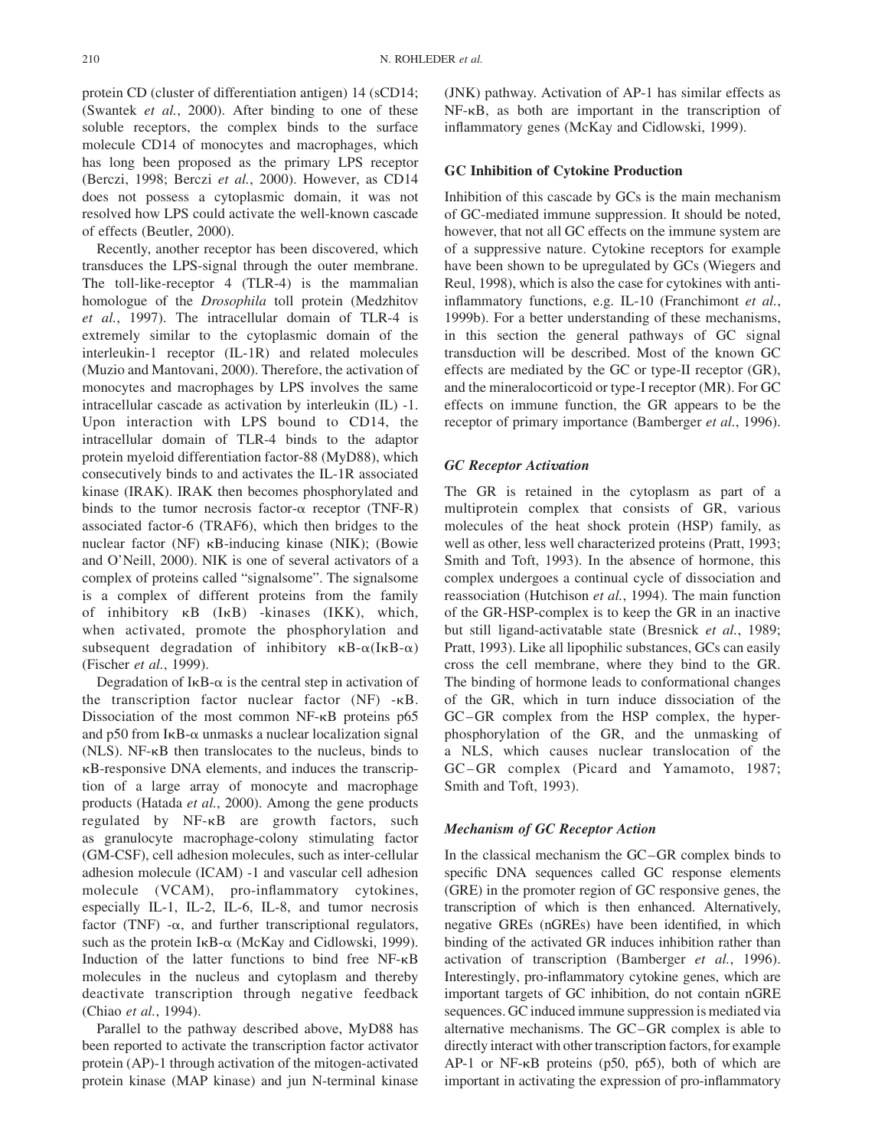protein CD (cluster of differentiation antigen) 14 (sCD14; (Swantek et al., 2000). After binding to one of these soluble receptors, the complex binds to the surface molecule CD14 of monocytes and macrophages, which has long been proposed as the primary LPS receptor (Berczi, 1998; Berczi et al., 2000). However, as CD14 does not possess a cytoplasmic domain, it was not resolved how LPS could activate the well-known cascade of effects (Beutler, 2000).

Recently, another receptor has been discovered, which transduces the LPS-signal through the outer membrane. The toll-like-receptor 4 (TLR-4) is the mammalian homologue of the Drosophila toll protein (Medzhitov et al., 1997). The intracellular domain of TLR-4 is extremely similar to the cytoplasmic domain of the interleukin-1 receptor (IL-1R) and related molecules (Muzio and Mantovani, 2000). Therefore, the activation of monocytes and macrophages by LPS involves the same intracellular cascade as activation by interleukin (IL) -1. Upon interaction with LPS bound to CD14, the intracellular domain of TLR-4 binds to the adaptor protein myeloid differentiation factor-88 (MyD88), which consecutively binds to and activates the IL-1R associated kinase (IRAK). IRAK then becomes phosphorylated and binds to the tumor necrosis factor- $\alpha$  receptor (TNF-R) associated factor-6 (TRAF6), which then bridges to the nuclear factor (NF) kB-inducing kinase (NIK); (Bowie and O'Neill, 2000). NIK is one of several activators of a complex of proteins called "signalsome". The signalsome is a complex of different proteins from the family of inhibitory kB (IkB) -kinases (IKK), which, when activated, promote the phosphorylation and subsequent degradation of inhibitory  $\kappa B - \alpha (I \kappa B - \alpha)$ (Fischer et al., 1999).

Degradation of  $I \kappa B$ - $\alpha$  is the central step in activation of the transcription factor nuclear factor (NF) -kB. Dissociation of the most common NF-kB proteins p65 and p50 from  $I \kappa B$ - $\alpha$  unmasks a nuclear localization signal (NLS). NF-kB then translocates to the nucleus, binds to kB-responsive DNA elements, and induces the transcription of a large array of monocyte and macrophage products (Hatada et al., 2000). Among the gene products regulated by NF-kB are growth factors, such as granulocyte macrophage-colony stimulating factor (GM-CSF), cell adhesion molecules, such as inter-cellular adhesion molecule (ICAM) -1 and vascular cell adhesion molecule (VCAM), pro-inflammatory cytokines, especially IL-1, IL-2, IL-6, IL-8, and tumor necrosis factor (TNF)  $-\alpha$ , and further transcriptional regulators, such as the protein  $I \kappa B$ - $\alpha$  (McKay and Cidlowski, 1999). Induction of the latter functions to bind free NF-kB molecules in the nucleus and cytoplasm and thereby deactivate transcription through negative feedback (Chiao et al., 1994).

Parallel to the pathway described above, MyD88 has been reported to activate the transcription factor activator protein (AP)-1 through activation of the mitogen-activated protein kinase (MAP kinase) and jun N-terminal kinase (JNK) pathway. Activation of AP-1 has similar effects as NF-kB, as both are important in the transcription of inflammatory genes (McKay and Cidlowski, 1999).

#### GC Inhibition of Cytokine Production

Inhibition of this cascade by GCs is the main mechanism of GC-mediated immune suppression. It should be noted, however, that not all GC effects on the immune system are of a suppressive nature. Cytokine receptors for example have been shown to be upregulated by GCs (Wiegers and Reul, 1998), which is also the case for cytokines with antiinflammatory functions, e.g. IL-10 (Franchimont et al., 1999b). For a better understanding of these mechanisms, in this section the general pathways of GC signal transduction will be described. Most of the known GC effects are mediated by the GC or type-II receptor (GR), and the mineralocorticoid or type-I receptor (MR). For GC effects on immune function, the GR appears to be the receptor of primary importance (Bamberger et al., 1996).

#### GC Receptor Activation

The GR is retained in the cytoplasm as part of a multiprotein complex that consists of GR, various molecules of the heat shock protein (HSP) family, as well as other, less well characterized proteins (Pratt, 1993; Smith and Toft, 1993). In the absence of hormone, this complex undergoes a continual cycle of dissociation and reassociation (Hutchison et al., 1994). The main function of the GR-HSP-complex is to keep the GR in an inactive but still ligand-activatable state (Bresnick et al., 1989; Pratt, 1993). Like all lipophilic substances, GCs can easily cross the cell membrane, where they bind to the GR. The binding of hormone leads to conformational changes of the GR, which in turn induce dissociation of the GC–GR complex from the HSP complex, the hyperphosphorylation of the GR, and the unmasking of a NLS, which causes nuclear translocation of the GC–GR complex (Picard and Yamamoto, 1987; Smith and Toft, 1993).

#### Mechanism of GC Receptor Action

In the classical mechanism the GC–GR complex binds to specific DNA sequences called GC response elements (GRE) in the promoter region of GC responsive genes, the transcription of which is then enhanced. Alternatively, negative GREs (nGREs) have been identified, in which binding of the activated GR induces inhibition rather than activation of transcription (Bamberger et al., 1996). Interestingly, pro-inflammatory cytokine genes, which are important targets of GC inhibition, do not contain nGRE sequences. GC induced immune suppression is mediated via alternative mechanisms. The GC–GR complex is able to directly interact with other transcription factors, for example  $AP-1$  or NF- $\kappa$ B proteins (p50, p65), both of which are important in activating the expression of pro-inflammatory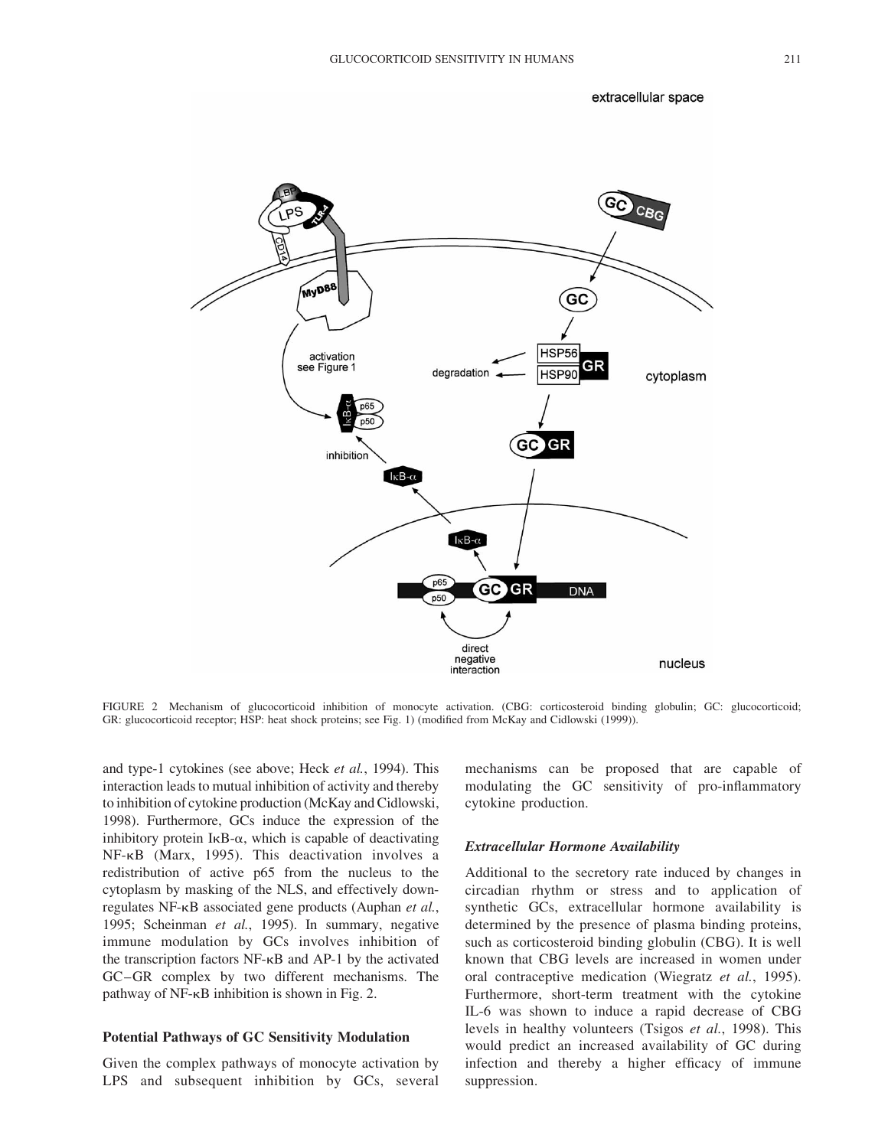

FIGURE 2 Mechanism of glucocorticoid inhibition of monocyte activation. (CBG: corticosteroid binding globulin; GC: glucocorticoid; GR: glucocorticoid receptor; HSP: heat shock proteins; see Fig. 1) (modified from McKay and Cidlowski (1999)).

and type-1 cytokines (see above; Heck et al., 1994). This interaction leads to mutual inhibition of activity and thereby to inhibition of cytokine production (McKay and Cidlowski, 1998). Furthermore, GCs induce the expression of the inhibitory protein  $I \kappa B$ - $\alpha$ , which is capable of deactivating NF-kB (Marx, 1995). This deactivation involves a redistribution of active p65 from the nucleus to the cytoplasm by masking of the NLS, and effectively downregulates NF-kB associated gene products (Auphan et al., 1995; Scheinman et al., 1995). In summary, negative immune modulation by GCs involves inhibition of the transcription factors NF-kB and AP-1 by the activated GC–GR complex by two different mechanisms. The pathway of NF- $\kappa$ B inhibition is shown in Fig. 2.

## Potential Pathways of GC Sensitivity Modulation

Given the complex pathways of monocyte activation by LPS and subsequent inhibition by GCs, several mechanisms can be proposed that are capable of modulating the GC sensitivity of pro-inflammatory cytokine production.

## Extracellular Hormone Availability

Additional to the secretory rate induced by changes in circadian rhythm or stress and to application of synthetic GCs, extracellular hormone availability is determined by the presence of plasma binding proteins, such as corticosteroid binding globulin (CBG). It is well known that CBG levels are increased in women under oral contraceptive medication (Wiegratz et al., 1995). Furthermore, short-term treatment with the cytokine IL-6 was shown to induce a rapid decrease of CBG levels in healthy volunteers (Tsigos et al., 1998). This would predict an increased availability of GC during infection and thereby a higher efficacy of immune suppression.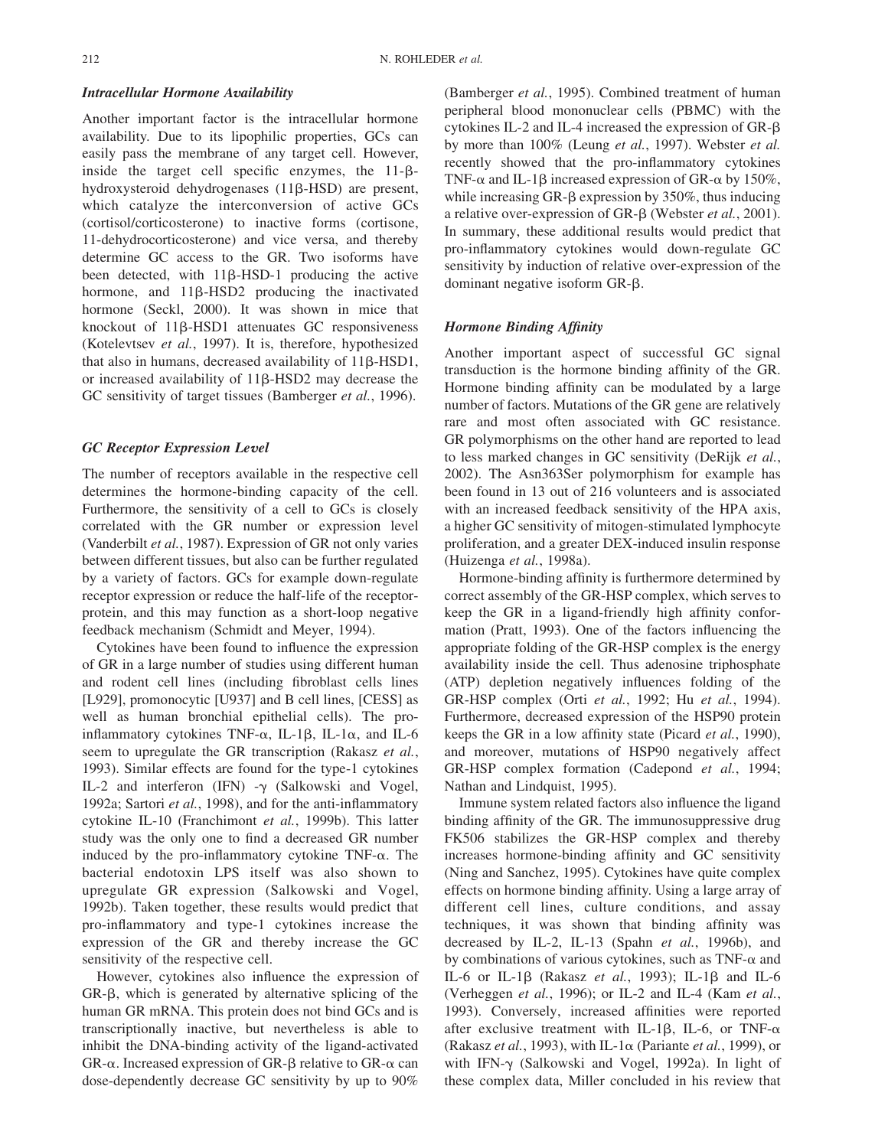#### Intracellular Hormone Availability

Another important factor is the intracellular hormone availability. Due to its lipophilic properties, GCs can easily pass the membrane of any target cell. However, inside the target cell specific enzymes, the  $11-\beta$ hydroxysteroid dehydrogenases (11<sub>B</sub>-HSD) are present, which catalyze the interconversion of active GCs (cortisol/corticosterone) to inactive forms (cortisone, 11-dehydrocorticosterone) and vice versa, and thereby determine GC access to the GR. Two isoforms have been detected, with  $11\beta$ -HSD-1 producing the active hormone, and 11ß-HSD2 producing the inactivated hormone (Seckl, 2000). It was shown in mice that knockout of 11ß-HSD1 attenuates GC responsiveness (Kotelevtsev et al., 1997). It is, therefore, hypothesized that also in humans, decreased availability of 11ß-HSD1, or increased availability of 11b-HSD2 may decrease the GC sensitivity of target tissues (Bamberger et al., 1996).

#### GC Receptor Expression Level

The number of receptors available in the respective cell determines the hormone-binding capacity of the cell. Furthermore, the sensitivity of a cell to GCs is closely correlated with the GR number or expression level (Vanderbilt et al., 1987). Expression of GR not only varies between different tissues, but also can be further regulated by a variety of factors. GCs for example down-regulate receptor expression or reduce the half-life of the receptorprotein, and this may function as a short-loop negative feedback mechanism (Schmidt and Meyer, 1994).

Cytokines have been found to influence the expression of GR in a large number of studies using different human and rodent cell lines (including fibroblast cells lines [L929], promonocytic [U937] and B cell lines, [CESS] as well as human bronchial epithelial cells). The proinflammatory cytokines TNF- $\alpha$ , IL-1 $\beta$ , IL-1 $\alpha$ , and IL-6 seem to upregulate the GR transcription (Rakasz et al., 1993). Similar effects are found for the type-1 cytokines IL-2 and interferon (IFN) - $\gamma$  (Salkowski and Vogel, 1992a; Sartori et al., 1998), and for the anti-inflammatory cytokine IL-10 (Franchimont et al., 1999b). This latter study was the only one to find a decreased GR number induced by the pro-inflammatory cytokine  $TNF-\alpha$ . The bacterial endotoxin LPS itself was also shown to upregulate GR expression (Salkowski and Vogel, 1992b). Taken together, these results would predict that pro-inflammatory and type-1 cytokines increase the expression of the GR and thereby increase the GC sensitivity of the respective cell.

However, cytokines also influence the expression of  $GR-\beta$ , which is generated by alternative splicing of the human GR mRNA. This protein does not bind GCs and is transcriptionally inactive, but nevertheless is able to inhibit the DNA-binding activity of the ligand-activated GR- $\alpha$ . Increased expression of GR- $\beta$  relative to GR- $\alpha$  can dose-dependently decrease GC sensitivity by up to 90% (Bamberger et al., 1995). Combined treatment of human peripheral blood mononuclear cells (PBMC) with the cytokines IL-2 and IL-4 increased the expression of GR-b by more than 100% (Leung et al., 1997). Webster et al. recently showed that the pro-inflammatory cytokines TNF- $\alpha$  and IL-1 $\beta$  increased expression of GR- $\alpha$  by 150%, while increasing  $GR-\beta$  expression by 350%, thus inducing a relative over-expression of GR- $\beta$  (Webster *et al.*, 2001). In summary, these additional results would predict that pro-inflammatory cytokines would down-regulate GC sensitivity by induction of relative over-expression of the dominant negative isoform GR-β.

#### Hormone Binding Affinity

Another important aspect of successful GC signal transduction is the hormone binding affinity of the GR. Hormone binding affinity can be modulated by a large number of factors. Mutations of the GR gene are relatively rare and most often associated with GC resistance. GR polymorphisms on the other hand are reported to lead to less marked changes in GC sensitivity (DeRijk et al., 2002). The Asn363Ser polymorphism for example has been found in 13 out of 216 volunteers and is associated with an increased feedback sensitivity of the HPA axis, a higher GC sensitivity of mitogen-stimulated lymphocyte proliferation, and a greater DEX-induced insulin response (Huizenga et al., 1998a).

Hormone-binding affinity is furthermore determined by correct assembly of the GR-HSP complex, which serves to keep the GR in a ligand-friendly high affinity conformation (Pratt, 1993). One of the factors influencing the appropriate folding of the GR-HSP complex is the energy availability inside the cell. Thus adenosine triphosphate (ATP) depletion negatively influences folding of the GR-HSP complex (Orti et al., 1992; Hu et al., 1994). Furthermore, decreased expression of the HSP90 protein keeps the GR in a low affinity state (Picard et al., 1990), and moreover, mutations of HSP90 negatively affect GR-HSP complex formation (Cadepond et al., 1994; Nathan and Lindquist, 1995).

Immune system related factors also influence the ligand binding affinity of the GR. The immunosuppressive drug FK506 stabilizes the GR-HSP complex and thereby increases hormone-binding affinity and GC sensitivity (Ning and Sanchez, 1995). Cytokines have quite complex effects on hormone binding affinity. Using a large array of different cell lines, culture conditions, and assay techniques, it was shown that binding affinity was decreased by IL-2, IL-13 (Spahn et al., 1996b), and by combinations of various cytokines, such as  $TNF-\alpha$  and IL-6 or IL-1 $\beta$  (Rakasz et al., 1993); IL-1 $\beta$  and IL-6 (Verheggen et al., 1996); or IL-2 and IL-4 (Kam et al., 1993). Conversely, increased affinities were reported after exclusive treatment with IL-1 $\beta$ , IL-6, or TNF- $\alpha$ (Rakasz et al., 1993), with IL-1 $\alpha$  (Pariante et al., 1999), or with IFN- $\gamma$  (Salkowski and Vogel, 1992a). In light of these complex data, Miller concluded in his review that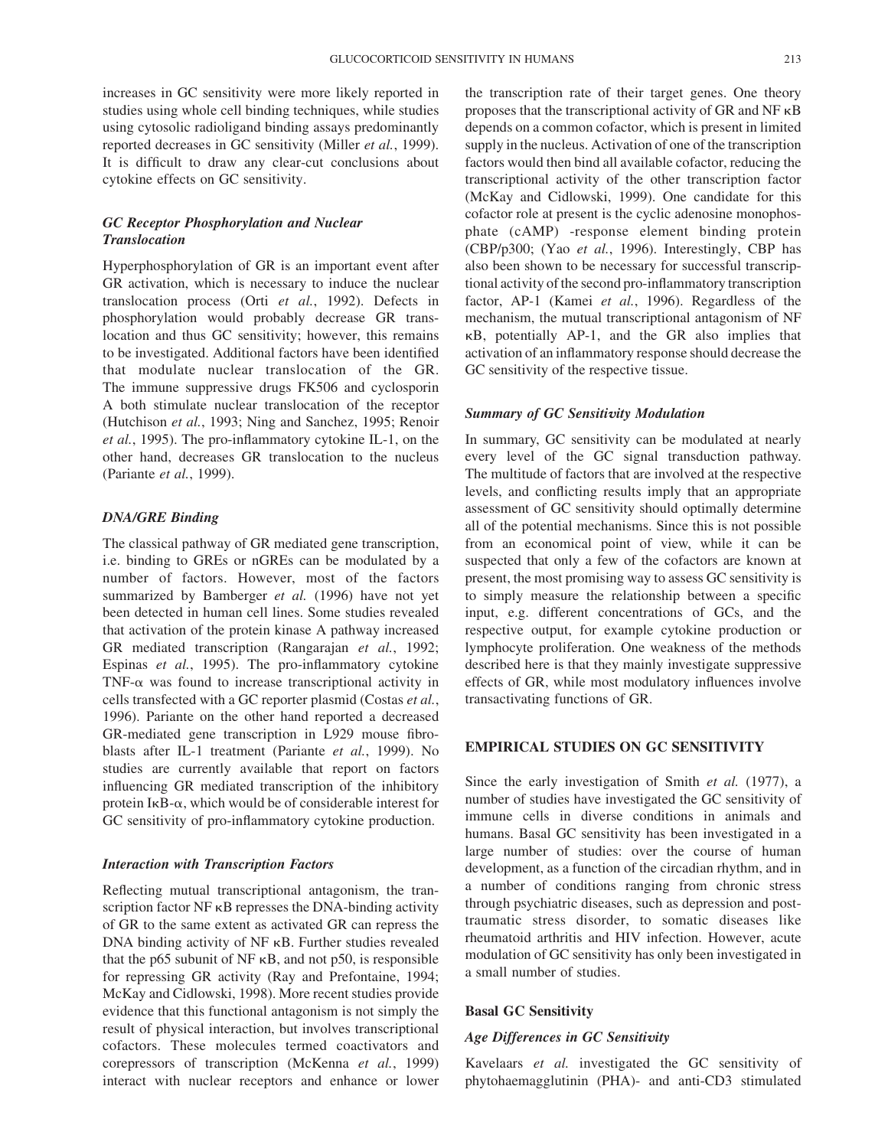increases in GC sensitivity were more likely reported in studies using whole cell binding techniques, while studies using cytosolic radioligand binding assays predominantly reported decreases in GC sensitivity (Miller et al., 1999). It is difficult to draw any clear-cut conclusions about cytokine effects on GC sensitivity.

# GC Receptor Phosphorylation and Nuclear **Translocation**

Hyperphosphorylation of GR is an important event after GR activation, which is necessary to induce the nuclear translocation process (Orti et al., 1992). Defects in phosphorylation would probably decrease GR translocation and thus GC sensitivity; however, this remains to be investigated. Additional factors have been identified that modulate nuclear translocation of the GR. The immune suppressive drugs FK506 and cyclosporin A both stimulate nuclear translocation of the receptor (Hutchison et al., 1993; Ning and Sanchez, 1995; Renoir et al., 1995). The pro-inflammatory cytokine IL-1, on the other hand, decreases GR translocation to the nucleus (Pariante et al., 1999).

## DNA/GRE Binding

The classical pathway of GR mediated gene transcription, i.e. binding to GREs or nGREs can be modulated by a number of factors. However, most of the factors summarized by Bamberger et al. (1996) have not yet been detected in human cell lines. Some studies revealed that activation of the protein kinase A pathway increased GR mediated transcription (Rangarajan et al., 1992; Espinas et al., 1995). The pro-inflammatory cytokine TNF- $\alpha$  was found to increase transcriptional activity in cells transfected with a GC reporter plasmid (Costas et al., 1996). Pariante on the other hand reported a decreased GR-mediated gene transcription in L929 mouse fibroblasts after IL-1 treatment (Pariante et al., 1999). No studies are currently available that report on factors influencing GR mediated transcription of the inhibitory protein  $I \kappa B$ - $\alpha$ , which would be of considerable interest for GC sensitivity of pro-inflammatory cytokine production.

#### Interaction with Transcription Factors

Reflecting mutual transcriptional antagonism, the transcription factor  $NF \kappa B$  represses the DNA-binding activity of GR to the same extent as activated GR can repress the DNA binding activity of NF  $\kappa$ B. Further studies revealed that the p65 subunit of NF  $\kappa$ B, and not p50, is responsible for repressing GR activity (Ray and Prefontaine, 1994; McKay and Cidlowski, 1998). More recent studies provide evidence that this functional antagonism is not simply the result of physical interaction, but involves transcriptional cofactors. These molecules termed coactivators and corepressors of transcription (McKenna et al., 1999) interact with nuclear receptors and enhance or lower the transcription rate of their target genes. One theory proposes that the transcriptional activity of GR and NF kB depends on a common cofactor, which is present in limited supply in the nucleus. Activation of one of the transcription factors would then bind all available cofactor, reducing the transcriptional activity of the other transcription factor (McKay and Cidlowski, 1999). One candidate for this cofactor role at present is the cyclic adenosine monophosphate (cAMP) -response element binding protein (CBP/p300; (Yao et al., 1996). Interestingly, CBP has also been shown to be necessary for successful transcriptional activity of the second pro-inflammatory transcription factor, AP-1 (Kamei et al., 1996). Regardless of the mechanism, the mutual transcriptional antagonism of NF kB, potentially AP-1, and the GR also implies that activation of an inflammatory response should decrease the GC sensitivity of the respective tissue.

#### Summary of GC Sensitivity Modulation

In summary, GC sensitivity can be modulated at nearly every level of the GC signal transduction pathway. The multitude of factors that are involved at the respective levels, and conflicting results imply that an appropriate assessment of GC sensitivity should optimally determine all of the potential mechanisms. Since this is not possible from an economical point of view, while it can be suspected that only a few of the cofactors are known at present, the most promising way to assess GC sensitivity is to simply measure the relationship between a specific input, e.g. different concentrations of GCs, and the respective output, for example cytokine production or lymphocyte proliferation. One weakness of the methods described here is that they mainly investigate suppressive effects of GR, while most modulatory influences involve transactivating functions of GR.

# EMPIRICAL STUDIES ON GC SENSITIVITY

Since the early investigation of Smith et al. (1977), a number of studies have investigated the GC sensitivity of immune cells in diverse conditions in animals and humans. Basal GC sensitivity has been investigated in a large number of studies: over the course of human development, as a function of the circadian rhythm, and in a number of conditions ranging from chronic stress through psychiatric diseases, such as depression and posttraumatic stress disorder, to somatic diseases like rheumatoid arthritis and HIV infection. However, acute modulation of GC sensitivity has only been investigated in a small number of studies.

### Basal GC Sensitivity

## Age Differences in GC Sensitivity

Kavelaars et al. investigated the GC sensitivity of phytohaemagglutinin (PHA)- and anti-CD3 stimulated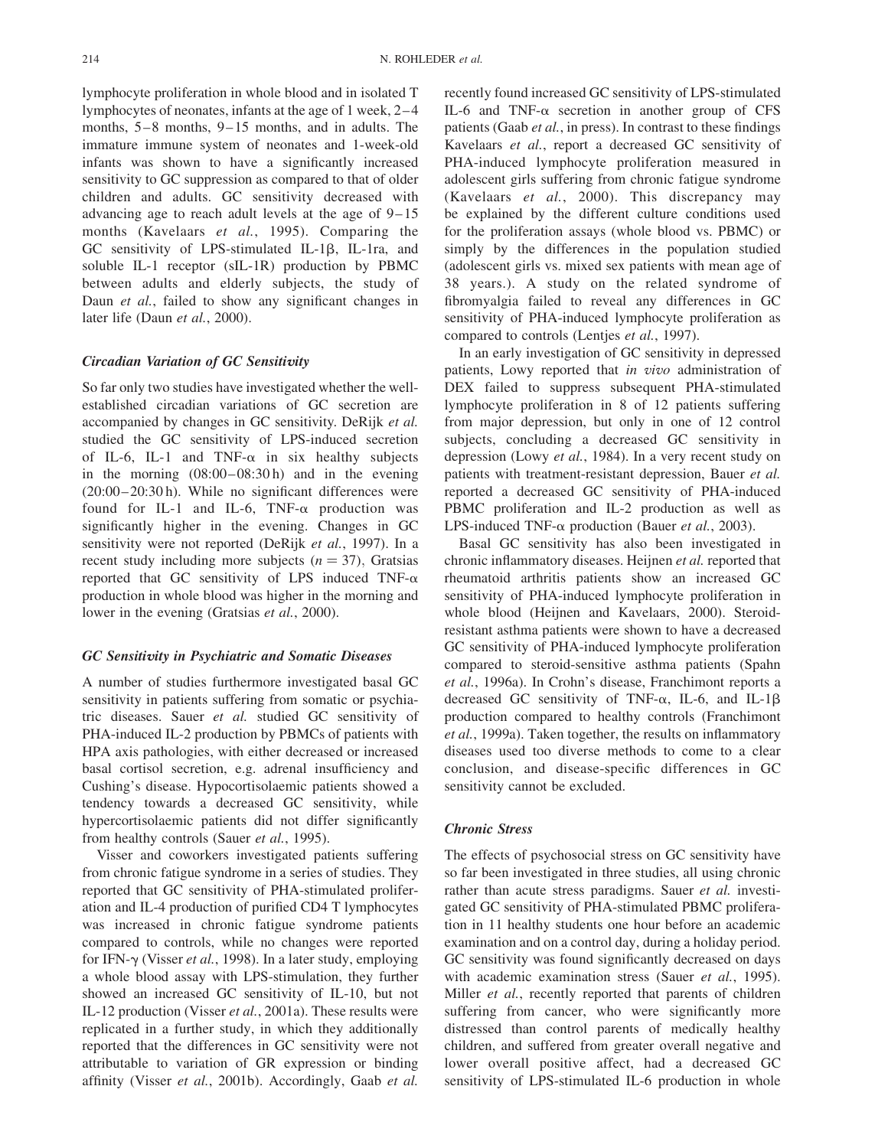lymphocyte proliferation in whole blood and in isolated T lymphocytes of neonates, infants at the age of 1 week, 2–4 months, 5–8 months, 9–15 months, and in adults. The immature immune system of neonates and 1-week-old infants was shown to have a significantly increased sensitivity to GC suppression as compared to that of older children and adults. GC sensitivity decreased with advancing age to reach adult levels at the age of 9–15 months (Kavelaars et al., 1995). Comparing the GC sensitivity of LPS-stimulated IL-1 $\beta$ , IL-1ra, and soluble IL-1 receptor (sIL-1R) production by PBMC between adults and elderly subjects, the study of Daun et al., failed to show any significant changes in later life (Daun et al., 2000).

## Circadian Variation of GC Sensitivity

So far only two studies have investigated whether the wellestablished circadian variations of GC secretion are accompanied by changes in GC sensitivity. DeRijk et al. studied the GC sensitivity of LPS-induced secretion of IL-6, IL-1 and TNF- $\alpha$  in six healthy subjects in the morning  $(08:00-08:30 h)$  and in the evening (20:00–20:30 h). While no significant differences were found for IL-1 and IL-6, TNF- $\alpha$  production was significantly higher in the evening. Changes in GC sensitivity were not reported (DeRijk et al., 1997). In a recent study including more subjects  $(n = 37)$ , Gratsias reported that GC sensitivity of LPS induced TNF- $\alpha$ production in whole blood was higher in the morning and lower in the evening (Gratsias *et al.*, 2000).

#### GC Sensitivity in Psychiatric and Somatic Diseases

A number of studies furthermore investigated basal GC sensitivity in patients suffering from somatic or psychiatric diseases. Sauer et al. studied GC sensitivity of PHA-induced IL-2 production by PBMCs of patients with HPA axis pathologies, with either decreased or increased basal cortisol secretion, e.g. adrenal insufficiency and Cushing's disease. Hypocortisolaemic patients showed a tendency towards a decreased GC sensitivity, while hypercortisolaemic patients did not differ significantly from healthy controls (Sauer et al., 1995).

Visser and coworkers investigated patients suffering from chronic fatigue syndrome in a series of studies. They reported that GC sensitivity of PHA-stimulated proliferation and IL-4 production of purified CD4 T lymphocytes was increased in chronic fatigue syndrome patients compared to controls, while no changes were reported for IFN- $\gamma$  (Visser *et al.*, 1998). In a later study, employing a whole blood assay with LPS-stimulation, they further showed an increased GC sensitivity of IL-10, but not IL-12 production (Visser et al., 2001a). These results were replicated in a further study, in which they additionally reported that the differences in GC sensitivity were not attributable to variation of GR expression or binding affinity (Visser et al., 2001b). Accordingly, Gaab et al.

recently found increased GC sensitivity of LPS-stimulated IL-6 and TNF- $\alpha$  secretion in another group of CFS patients (Gaab et al., in press). In contrast to these findings Kavelaars et al., report a decreased GC sensitivity of PHA-induced lymphocyte proliferation measured in adolescent girls suffering from chronic fatigue syndrome (Kavelaars et al., 2000). This discrepancy may be explained by the different culture conditions used for the proliferation assays (whole blood vs. PBMC) or simply by the differences in the population studied (adolescent girls vs. mixed sex patients with mean age of 38 years.). A study on the related syndrome of fibromyalgia failed to reveal any differences in GC sensitivity of PHA-induced lymphocyte proliferation as compared to controls (Lentjes et al., 1997).

In an early investigation of GC sensitivity in depressed patients, Lowy reported that in vivo administration of DEX failed to suppress subsequent PHA-stimulated lymphocyte proliferation in 8 of 12 patients suffering from major depression, but only in one of 12 control subjects, concluding a decreased GC sensitivity in depression (Lowy et al., 1984). In a very recent study on patients with treatment-resistant depression, Bauer et al. reported a decreased GC sensitivity of PHA-induced PBMC proliferation and IL-2 production as well as LPS-induced TNF- $\alpha$  production (Bauer et al., 2003).

Basal GC sensitivity has also been investigated in chronic inflammatory diseases. Heijnen et al. reported that rheumatoid arthritis patients show an increased GC sensitivity of PHA-induced lymphocyte proliferation in whole blood (Heijnen and Kavelaars, 2000). Steroidresistant asthma patients were shown to have a decreased GC sensitivity of PHA-induced lymphocyte proliferation compared to steroid-sensitive asthma patients (Spahn et al., 1996a). In Crohn's disease, Franchimont reports a decreased GC sensitivity of TNF- $\alpha$ , IL-6, and IL-1 $\beta$ production compared to healthy controls (Franchimont et al., 1999a). Taken together, the results on inflammatory diseases used too diverse methods to come to a clear conclusion, and disease-specific differences in GC sensitivity cannot be excluded.

#### Chronic Stress

The effects of psychosocial stress on GC sensitivity have so far been investigated in three studies, all using chronic rather than acute stress paradigms. Sauer et al. investigated GC sensitivity of PHA-stimulated PBMC proliferation in 11 healthy students one hour before an academic examination and on a control day, during a holiday period. GC sensitivity was found significantly decreased on days with academic examination stress (Sauer et al., 1995). Miller *et al.*, recently reported that parents of children suffering from cancer, who were significantly more distressed than control parents of medically healthy children, and suffered from greater overall negative and lower overall positive affect, had a decreased GC sensitivity of LPS-stimulated IL-6 production in whole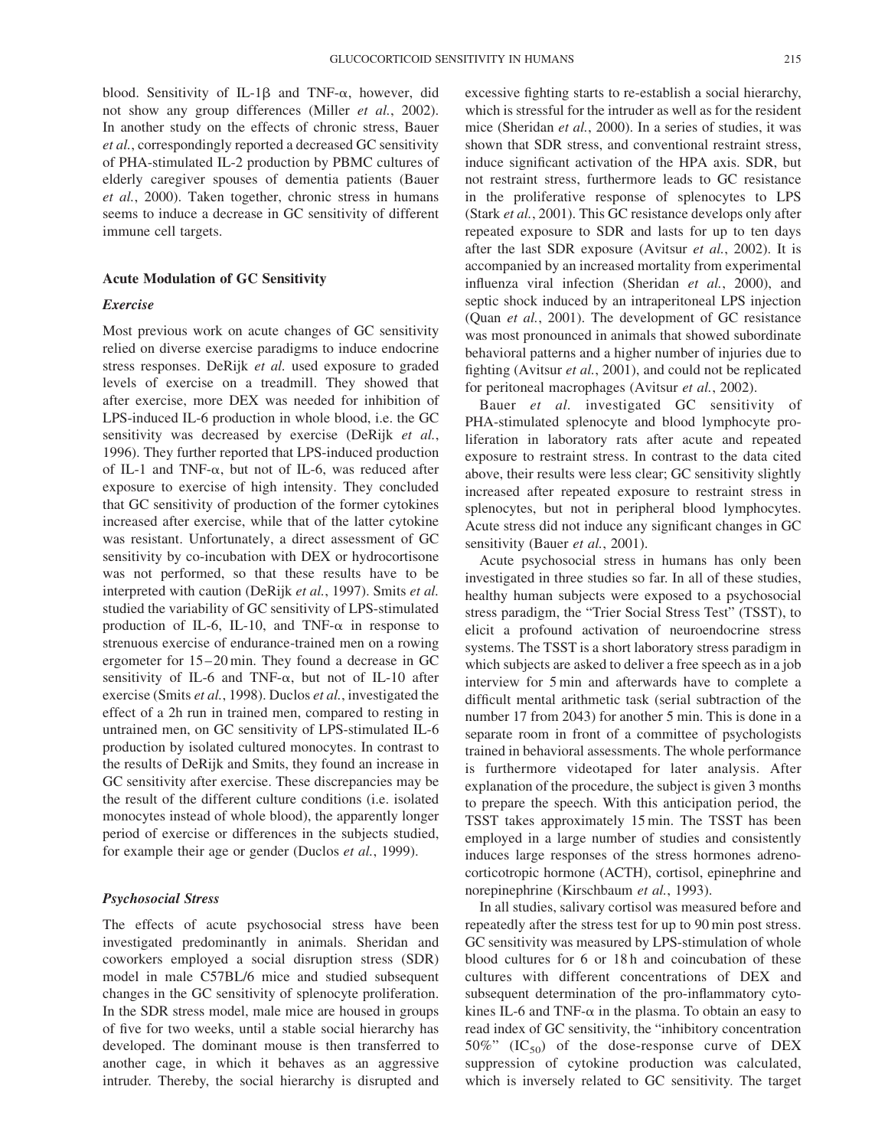blood. Sensitivity of IL-1 $\beta$  and TNF- $\alpha$ , however, did not show any group differences (Miller et al., 2002). In another study on the effects of chronic stress, Bauer et al., correspondingly reported a decreased GC sensitivity of PHA-stimulated IL-2 production by PBMC cultures of elderly caregiver spouses of dementia patients (Bauer et al., 2000). Taken together, chronic stress in humans seems to induce a decrease in GC sensitivity of different immune cell targets.

#### Acute Modulation of GC Sensitivity

#### Exercise

Most previous work on acute changes of GC sensitivity relied on diverse exercise paradigms to induce endocrine stress responses. DeRijk et al. used exposure to graded levels of exercise on a treadmill. They showed that after exercise, more DEX was needed for inhibition of LPS-induced IL-6 production in whole blood, i.e. the GC sensitivity was decreased by exercise (DeRijk et al., 1996). They further reported that LPS-induced production of IL-1 and TNF- $\alpha$ , but not of IL-6, was reduced after exposure to exercise of high intensity. They concluded that GC sensitivity of production of the former cytokines increased after exercise, while that of the latter cytokine was resistant. Unfortunately, a direct assessment of GC sensitivity by co-incubation with DEX or hydrocortisone was not performed, so that these results have to be interpreted with caution (DeRijk et al., 1997). Smits et al. studied the variability of GC sensitivity of LPS-stimulated production of IL-6, IL-10, and TNF- $\alpha$  in response to strenuous exercise of endurance-trained men on a rowing ergometer for 15–20 min. They found a decrease in GC sensitivity of IL-6 and TNF- $\alpha$ , but not of IL-10 after exercise (Smits *et al.*, 1998). Duclos *et al.*, investigated the effect of a 2h run in trained men, compared to resting in untrained men, on GC sensitivity of LPS-stimulated IL-6 production by isolated cultured monocytes. In contrast to the results of DeRijk and Smits, they found an increase in GC sensitivity after exercise. These discrepancies may be the result of the different culture conditions (i.e. isolated monocytes instead of whole blood), the apparently longer period of exercise or differences in the subjects studied, for example their age or gender (Duclos et al., 1999).

# Psychosocial Stress

The effects of acute psychosocial stress have been investigated predominantly in animals. Sheridan and coworkers employed a social disruption stress (SDR) model in male C57BL/6 mice and studied subsequent changes in the GC sensitivity of splenocyte proliferation. In the SDR stress model, male mice are housed in groups of five for two weeks, until a stable social hierarchy has developed. The dominant mouse is then transferred to another cage, in which it behaves as an aggressive intruder. Thereby, the social hierarchy is disrupted and excessive fighting starts to re-establish a social hierarchy, which is stressful for the intruder as well as for the resident mice (Sheridan et al., 2000). In a series of studies, it was shown that SDR stress, and conventional restraint stress, induce significant activation of the HPA axis. SDR, but not restraint stress, furthermore leads to GC resistance in the proliferative response of splenocytes to LPS (Stark et al., 2001). This GC resistance develops only after repeated exposure to SDR and lasts for up to ten days after the last SDR exposure (Avitsur et al., 2002). It is accompanied by an increased mortality from experimental influenza viral infection (Sheridan et al., 2000), and septic shock induced by an intraperitoneal LPS injection (Quan et al., 2001). The development of GC resistance was most pronounced in animals that showed subordinate behavioral patterns and a higher number of injuries due to fighting (Avitsur et al., 2001), and could not be replicated for peritoneal macrophages (Avitsur et al., 2002).

Bauer et al. investigated GC sensitivity of PHA-stimulated splenocyte and blood lymphocyte proliferation in laboratory rats after acute and repeated exposure to restraint stress. In contrast to the data cited above, their results were less clear; GC sensitivity slightly increased after repeated exposure to restraint stress in splenocytes, but not in peripheral blood lymphocytes. Acute stress did not induce any significant changes in GC sensitivity (Bauer et al., 2001).

Acute psychosocial stress in humans has only been investigated in three studies so far. In all of these studies, healthy human subjects were exposed to a psychosocial stress paradigm, the "Trier Social Stress Test" (TSST), to elicit a profound activation of neuroendocrine stress systems. The TSST is a short laboratory stress paradigm in which subjects are asked to deliver a free speech as in a job interview for 5 min and afterwards have to complete a difficult mental arithmetic task (serial subtraction of the number 17 from 2043) for another 5 min. This is done in a separate room in front of a committee of psychologists trained in behavioral assessments. The whole performance is furthermore videotaped for later analysis. After explanation of the procedure, the subject is given 3 months to prepare the speech. With this anticipation period, the TSST takes approximately 15 min. The TSST has been employed in a large number of studies and consistently induces large responses of the stress hormones adrenocorticotropic hormone (ACTH), cortisol, epinephrine and norepinephrine (Kirschbaum et al., 1993).

In all studies, salivary cortisol was measured before and repeatedly after the stress test for up to 90 min post stress. GC sensitivity was measured by LPS-stimulation of whole blood cultures for 6 or 18 h and coincubation of these cultures with different concentrations of DEX and subsequent determination of the pro-inflammatory cytokines IL-6 and TNF- $\alpha$  in the plasma. To obtain an easy to read index of GC sensitivity, the "inhibitory concentration 50%" (IC<sub>50</sub>) of the dose-response curve of DEX suppression of cytokine production was calculated, which is inversely related to GC sensitivity. The target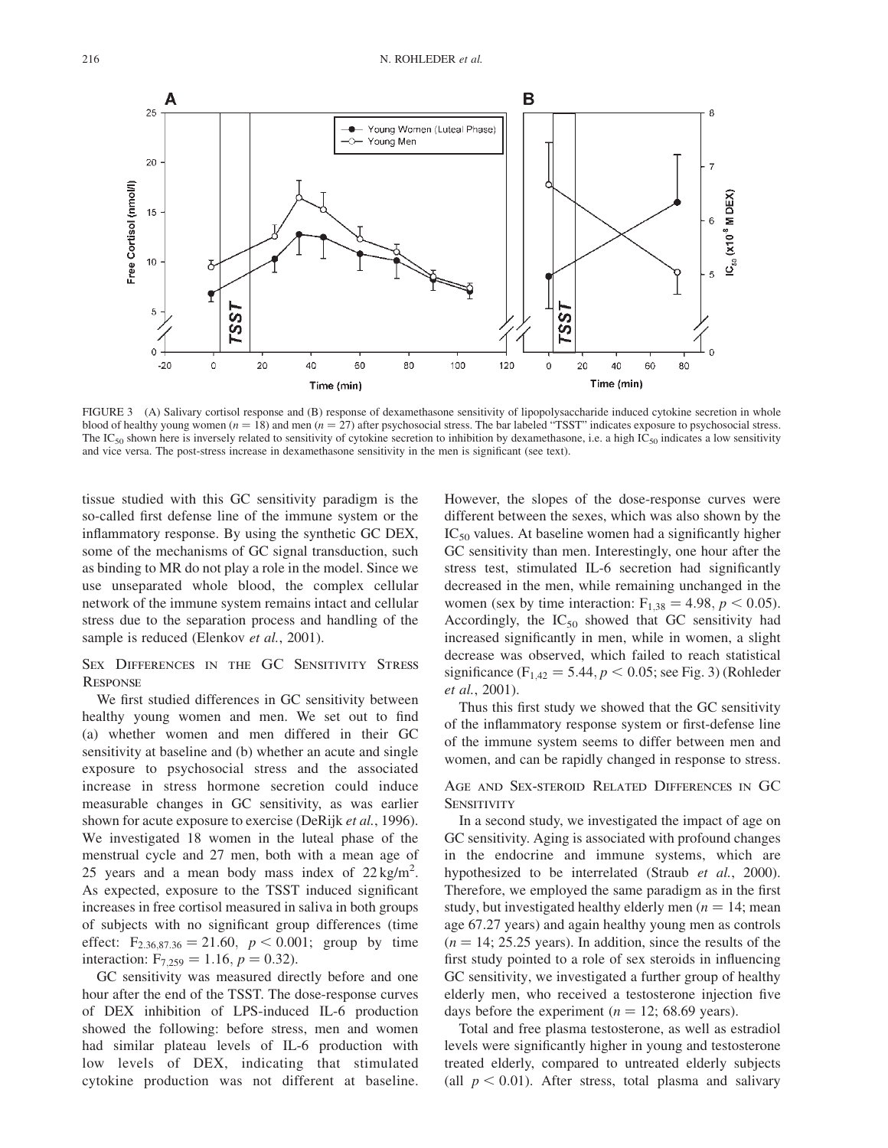

FIGURE 3 (A) Salivary cortisol response and (B) response of dexamethasone sensitivity of lipopolysaccharide induced cytokine secretion in whole blood of healthy young women  $(n = 18)$  and men  $(n = 27)$  after psychosocial stress. The bar labeled "TSST" indicates exposure to psychosocial stress. The IC<sub>50</sub> shown here is inversely related to sensitivity of cytokine secretion to inhibition by dexamethasone, i.e. a high IC<sub>50</sub> indicates a low sensitivity and vice versa. The post-stress increase in dexamethasone sensitivity in the men is significant (see text).

tissue studied with this GC sensitivity paradigm is the so-called first defense line of the immune system or the inflammatory response. By using the synthetic GC DEX, some of the mechanisms of GC signal transduction, such as binding to MR do not play a role in the model. Since we use unseparated whole blood, the complex cellular network of the immune system remains intact and cellular stress due to the separation process and handling of the sample is reduced (Elenkov et al., 2001).

SEX DIFFERENCES IN THE GC SENSITIVITY STRESS **RESPONSE** 

We first studied differences in GC sensitivity between healthy young women and men. We set out to find (a) whether women and men differed in their GC sensitivity at baseline and (b) whether an acute and single exposure to psychosocial stress and the associated increase in stress hormone secretion could induce measurable changes in GC sensitivity, as was earlier shown for acute exposure to exercise (DeRijk et al., 1996). We investigated 18 women in the luteal phase of the menstrual cycle and 27 men, both with a mean age of 25 years and a mean body mass index of  $22 \text{ kg/m}^2$ . As expected, exposure to the TSST induced significant increases in free cortisol measured in saliva in both groups of subjects with no significant group differences (time effect:  $F_{2.36,87.36} = 21.60, p < 0.001$ ; group by time interaction:  $F_{7,259} = 1.16, p = 0.32$ .

GC sensitivity was measured directly before and one hour after the end of the TSST. The dose-response curves of DEX inhibition of LPS-induced IL-6 production showed the following: before stress, men and women had similar plateau levels of IL-6 production with low levels of DEX, indicating that stimulated cytokine production was not different at baseline. However, the slopes of the dose-response curves were different between the sexes, which was also shown by the  $IC_{50}$  values. At baseline women had a significantly higher GC sensitivity than men. Interestingly, one hour after the stress test, stimulated IL-6 secretion had significantly decreased in the men, while remaining unchanged in the women (sex by time interaction:  $F_{1,38} = 4.98, p < 0.05$ ). Accordingly, the  $IC_{50}$  showed that GC sensitivity had increased significantly in men, while in women, a slight decrease was observed, which failed to reach statistical significance (F<sub>1,42</sub> = 5.44,  $p < 0.05$ ; see Fig. 3) (Rohleder et al., 2001).

Thus this first study we showed that the GC sensitivity of the inflammatory response system or first-defense line of the immune system seems to differ between men and women, and can be rapidly changed in response to stress.

Age and Sex-steroid Related Differences in GC **SENSITIVITY** 

In a second study, we investigated the impact of age on GC sensitivity. Aging is associated with profound changes in the endocrine and immune systems, which are hypothesized to be interrelated (Straub et al., 2000). Therefore, we employed the same paradigm as in the first study, but investigated healthy elderly men ( $n = 14$ ; mean age 67.27 years) and again healthy young men as controls  $(n = 14; 25.25 \text{ years})$ . In addition, since the results of the first study pointed to a role of sex steroids in influencing GC sensitivity, we investigated a further group of healthy elderly men, who received a testosterone injection five days before the experiment ( $n = 12$ ; 68.69 years).

Total and free plasma testosterone, as well as estradiol levels were significantly higher in young and testosterone treated elderly, compared to untreated elderly subjects (all  $p < 0.01$ ). After stress, total plasma and salivary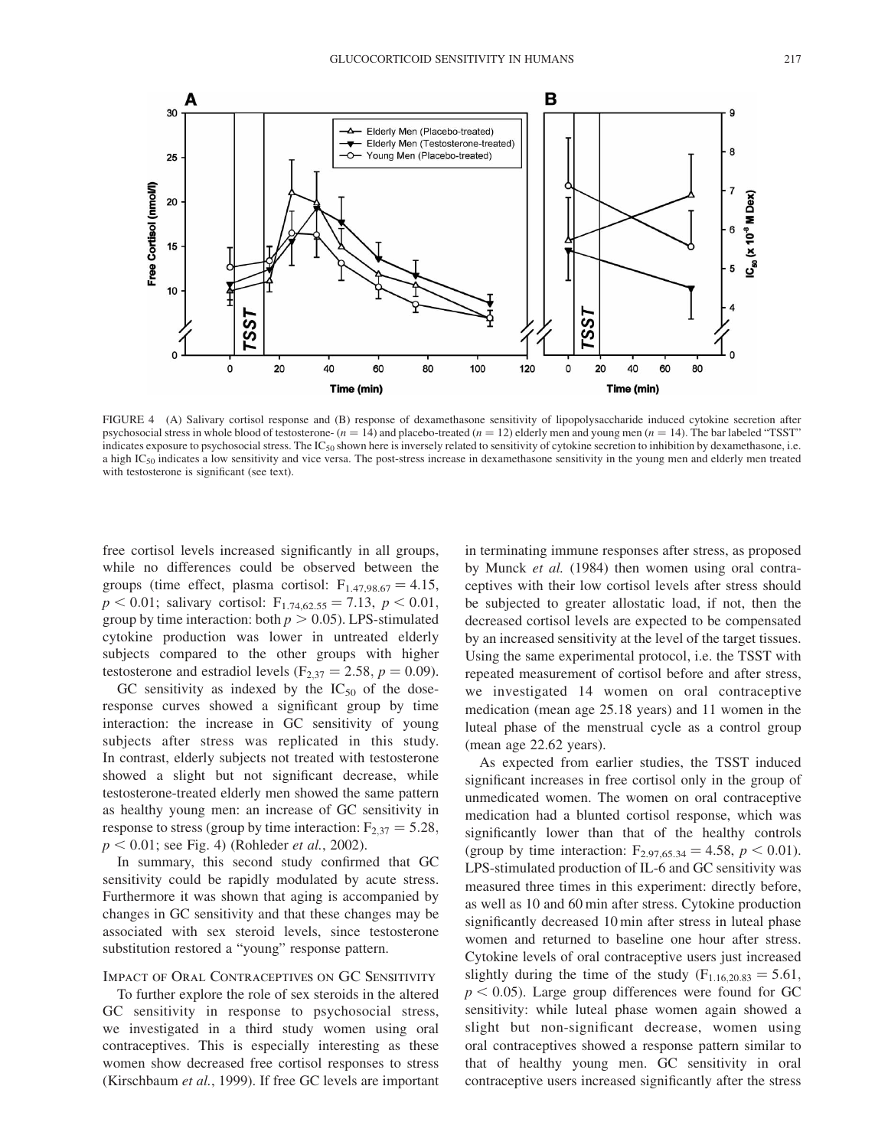

FIGURE 4 (A) Salivary cortisol response and (B) response of dexamethasone sensitivity of lipopolysaccharide induced cytokine secretion after psychosocial stress in whole blood of testosterone-  $(n = 14)$  and placebo-treated  $(n = 12)$  elderly men and young men  $(n = 14)$ . The bar labeled "TSST" indicates exposure to psychosocial stress. The IC<sub>50</sub> shown here is inversely related to sensitivity of cytokine secretion to inhibition by dexamethasone, i.e. a high IC<sub>50</sub> indicates a low sensitivity and vice versa. The post-stress increase in dexamethasone sensitivity in the young men and elderly men treated with testosterone is significant (see text).

free cortisol levels increased significantly in all groups, while no differences could be observed between the groups (time effect, plasma cortisol:  $F_{1.47,98.67} = 4.15$ ,  $p < 0.01$ ; salivary cortisol:  $F_{1.74,62.55} = 7.13, p < 0.01$ , group by time interaction: both  $p > 0.05$ ). LPS-stimulated cytokine production was lower in untreated elderly subjects compared to the other groups with higher testosterone and estradiol levels ( $F_{2,37} = 2.58$ ,  $p = 0.09$ ).

GC sensitivity as indexed by the  $IC_{50}$  of the doseresponse curves showed a significant group by time interaction: the increase in GC sensitivity of young subjects after stress was replicated in this study. In contrast, elderly subjects not treated with testosterone showed a slight but not significant decrease, while testosterone-treated elderly men showed the same pattern as healthy young men: an increase of GC sensitivity in response to stress (group by time interaction:  $F_{2,37} = 5.28$ ,  $p < 0.01$ ; see Fig. 4) (Rohleder *et al.*, 2002).

In summary, this second study confirmed that GC sensitivity could be rapidly modulated by acute stress. Furthermore it was shown that aging is accompanied by changes in GC sensitivity and that these changes may be associated with sex steroid levels, since testosterone substitution restored a "young" response pattern.

### Impact of Oral Contraceptives on GC Sensitivity

To further explore the role of sex steroids in the altered GC sensitivity in response to psychosocial stress, we investigated in a third study women using oral contraceptives. This is especially interesting as these women show decreased free cortisol responses to stress (Kirschbaum et al., 1999). If free GC levels are important in terminating immune responses after stress, as proposed by Munck et al. (1984) then women using oral contraceptives with their low cortisol levels after stress should be subjected to greater allostatic load, if not, then the decreased cortisol levels are expected to be compensated by an increased sensitivity at the level of the target tissues. Using the same experimental protocol, i.e. the TSST with repeated measurement of cortisol before and after stress, we investigated 14 women on oral contraceptive medication (mean age 25.18 years) and 11 women in the luteal phase of the menstrual cycle as a control group (mean age 22.62 years).

As expected from earlier studies, the TSST induced significant increases in free cortisol only in the group of unmedicated women. The women on oral contraceptive medication had a blunted cortisol response, which was significantly lower than that of the healthy controls (group by time interaction:  $F_{2.97,65.34} = 4.58, p < 0.01$ ). LPS-stimulated production of IL-6 and GC sensitivity was measured three times in this experiment: directly before, as well as 10 and 60 min after stress. Cytokine production significantly decreased 10 min after stress in luteal phase women and returned to baseline one hour after stress. Cytokine levels of oral contraceptive users just increased slightly during the time of the study  $(F<sub>1.16,20.83</sub> = 5.61)$ ,  $p < 0.05$ ). Large group differences were found for GC sensitivity: while luteal phase women again showed a slight but non-significant decrease, women using oral contraceptives showed a response pattern similar to that of healthy young men. GC sensitivity in oral contraceptive users increased significantly after the stress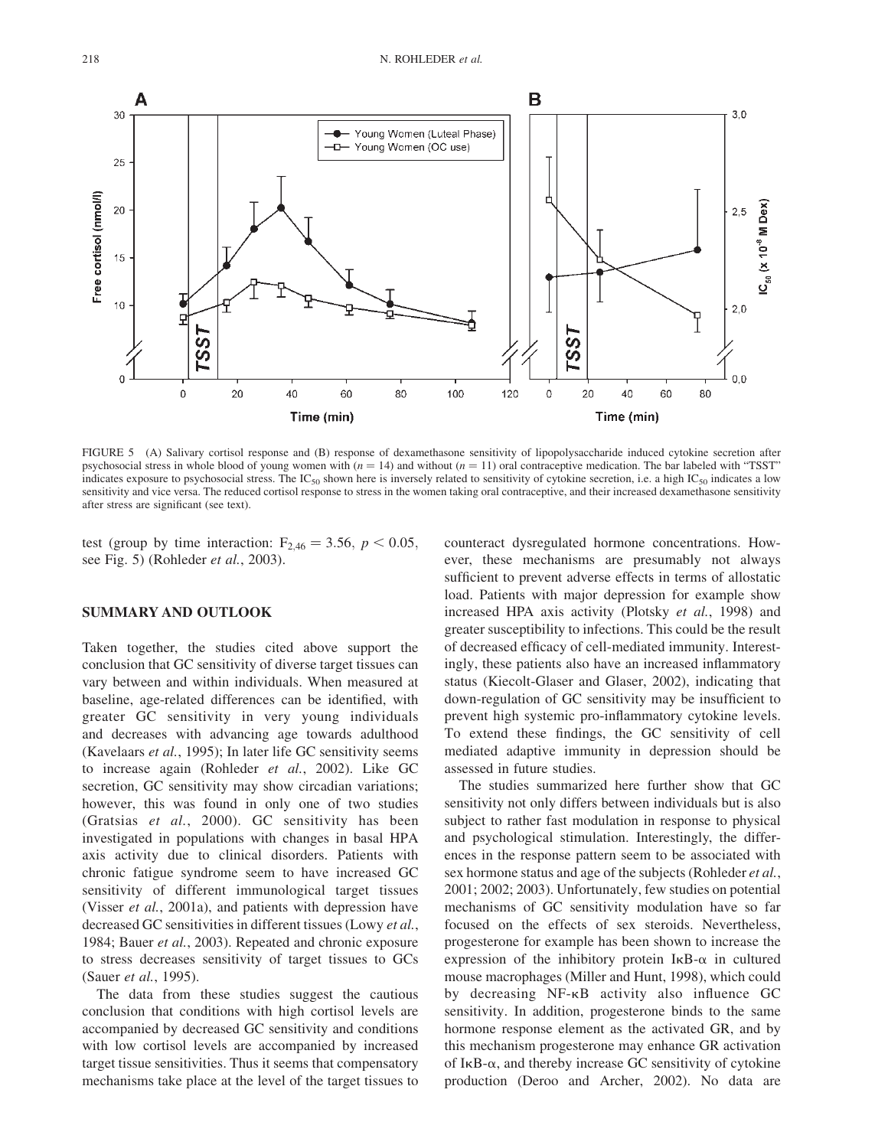

FIGURE 5 (A) Salivary cortisol response and (B) response of dexamethasone sensitivity of lipopolysaccharide induced cytokine secretion after psychosocial stress in whole blood of young women with  $(n = 14)$  and without  $(n = 11)$  oral contraceptive medication. The bar labeled with "TSST" indicates exposure to psychosocial stress. The  $IC_{50}$  shown here is inversely related to sensitivity of cytokine secretion, i.e. a high  $IC_{50}$  indicates a low sensitivity and vice versa. The reduced cortisol response to stress in the women taking oral contraceptive, and their increased dexamethasone sensitivity after stress are significant (see text).

test (group by time interaction:  $F_{2,46} = 3.56$ ,  $p < 0.05$ , see Fig. 5) (Rohleder et al., 2003).

# SUMMARY AND OUTLOOK

Taken together, the studies cited above support the conclusion that GC sensitivity of diverse target tissues can vary between and within individuals. When measured at baseline, age-related differences can be identified, with greater GC sensitivity in very young individuals and decreases with advancing age towards adulthood (Kavelaars et al., 1995); In later life GC sensitivity seems to increase again (Rohleder et al., 2002). Like GC secretion, GC sensitivity may show circadian variations; however, this was found in only one of two studies (Gratsias et al., 2000). GC sensitivity has been investigated in populations with changes in basal HPA axis activity due to clinical disorders. Patients with chronic fatigue syndrome seem to have increased GC sensitivity of different immunological target tissues (Visser et al., 2001a), and patients with depression have decreased GC sensitivities in different tissues (Lowy et al., 1984; Bauer et al., 2003). Repeated and chronic exposure to stress decreases sensitivity of target tissues to GCs (Sauer et al., 1995).

The data from these studies suggest the cautious conclusion that conditions with high cortisol levels are accompanied by decreased GC sensitivity and conditions with low cortisol levels are accompanied by increased target tissue sensitivities. Thus it seems that compensatory mechanisms take place at the level of the target tissues to counteract dysregulated hormone concentrations. However, these mechanisms are presumably not always sufficient to prevent adverse effects in terms of allostatic load. Patients with major depression for example show increased HPA axis activity (Plotsky et al., 1998) and greater susceptibility to infections. This could be the result of decreased efficacy of cell-mediated immunity. Interestingly, these patients also have an increased inflammatory status (Kiecolt-Glaser and Glaser, 2002), indicating that down-regulation of GC sensitivity may be insufficient to prevent high systemic pro-inflammatory cytokine levels. To extend these findings, the GC sensitivity of cell mediated adaptive immunity in depression should be assessed in future studies.

The studies summarized here further show that GC sensitivity not only differs between individuals but is also subject to rather fast modulation in response to physical and psychological stimulation. Interestingly, the differences in the response pattern seem to be associated with sex hormone status and age of the subjects (Rohleder *et al.*, 2001; 2002; 2003). Unfortunately, few studies on potential mechanisms of GC sensitivity modulation have so far focused on the effects of sex steroids. Nevertheless, progesterone for example has been shown to increase the expression of the inhibitory protein  $I \kappa B$ - $\alpha$  in cultured mouse macrophages (Miller and Hunt, 1998), which could by decreasing NF-kB activity also influence GC sensitivity. In addition, progesterone binds to the same hormone response element as the activated GR, and by this mechanism progesterone may enhance GR activation of  $I \kappa B$ - $\alpha$ , and thereby increase GC sensitivity of cytokine production (Deroo and Archer, 2002). No data are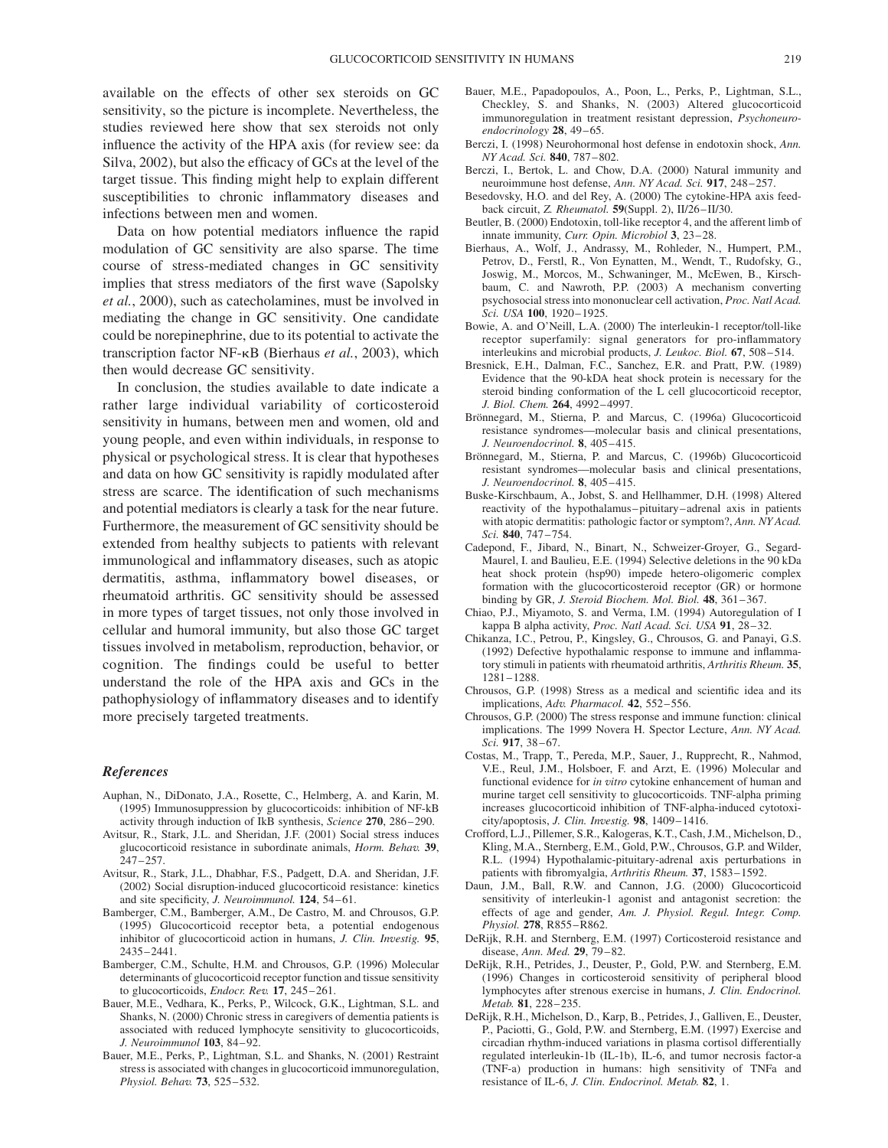available on the effects of other sex steroids on GC sensitivity, so the picture is incomplete. Nevertheless, the studies reviewed here show that sex steroids not only influence the activity of the HPA axis (for review see: da Silva, 2002), but also the efficacy of GCs at the level of the target tissue. This finding might help to explain different susceptibilities to chronic inflammatory diseases and infections between men and women.

Data on how potential mediators influence the rapid modulation of GC sensitivity are also sparse. The time course of stress-mediated changes in GC sensitivity implies that stress mediators of the first wave (Sapolsky et al., 2000), such as catecholamines, must be involved in mediating the change in GC sensitivity. One candidate could be norepinephrine, due to its potential to activate the transcription factor NF-kB (Bierhaus et al., 2003), which then would decrease GC sensitivity.

In conclusion, the studies available to date indicate a rather large individual variability of corticosteroid sensitivity in humans, between men and women, old and young people, and even within individuals, in response to physical or psychological stress. It is clear that hypotheses and data on how GC sensitivity is rapidly modulated after stress are scarce. The identification of such mechanisms and potential mediators is clearly a task for the near future. Furthermore, the measurement of GC sensitivity should be extended from healthy subjects to patients with relevant immunological and inflammatory diseases, such as atopic dermatitis, asthma, inflammatory bowel diseases, or rheumatoid arthritis. GC sensitivity should be assessed in more types of target tissues, not only those involved in cellular and humoral immunity, but also those GC target tissues involved in metabolism, reproduction, behavior, or cognition. The findings could be useful to better understand the role of the HPA axis and GCs in the pathophysiology of inflammatory diseases and to identify more precisely targeted treatments.

#### References

- Auphan, N., DiDonato, J.A., Rosette, C., Helmberg, A. and Karin, M. (1995) Immunosuppression by glucocorticoids: inhibition of NF-kB activity through induction of IkB synthesis, Science 270, 286–290.
- Avitsur, R., Stark, J.L. and Sheridan, J.F. (2001) Social stress induces glucocorticoid resistance in subordinate animals, Horm. Behav. 39, 247–257.
- Avitsur, R., Stark, J.L., Dhabhar, F.S., Padgett, D.A. and Sheridan, J.F. (2002) Social disruption-induced glucocorticoid resistance: kinetics and site specificity, J. Neuroimmunol. 124, 54–61.
- Bamberger, C.M., Bamberger, A.M., De Castro, M. and Chrousos, G.P. (1995) Glucocorticoid receptor beta, a potential endogenous inhibitor of glucocorticoid action in humans, J. Clin. Investig. 95, 2435–2441.
- Bamberger, C.M., Schulte, H.M. and Chrousos, G.P. (1996) Molecular determinants of glucocorticoid receptor function and tissue sensitivity to glucocorticoids, *Endocr. Rev.* 17, 245-261.
- Bauer, M.E., Vedhara, K., Perks, P., Wilcock, G.K., Lightman, S.L. and Shanks, N. (2000) Chronic stress in caregivers of dementia patients is associated with reduced lymphocyte sensitivity to glucocorticoids, J. Neuroimmunol 103, 84–92.
- Bauer, M.E., Perks, P., Lightman, S.L. and Shanks, N. (2001) Restraint stress is associated with changes in glucocorticoid immunoregulation, Physiol. Behav. 73, 525–532.
- Bauer, M.E., Papadopoulos, A., Poon, L., Perks, P., Lightman, S.L., Checkley, S. and Shanks, N. (2003) Altered glucocorticoid immunoregulation in treatment resistant depression, Psychoneuroendocrinology 28, 49–65.
- Berczi, I. (1998) Neurohormonal host defense in endotoxin shock, Ann. NY Acad. Sci. 840, 787–802.
- Berczi, I., Bertok, L. and Chow, D.A. (2000) Natural immunity and neuroimmune host defense, Ann. NY Acad. Sci. 917, 248–257.
- Besedovsky, H.O. and del Rey, A. (2000) The cytokine-HPA axis feedback circuit, Z. Rheumatol. 59(Suppl. 2), II/26–II/30.
- Beutler, B. (2000) Endotoxin, toll-like receptor 4, and the afferent limb of innate immunity, Curr. Opin. Microbiol 3, 23–28.
- Bierhaus, A., Wolf, J., Andrassy, M., Rohleder, N., Humpert, P.M., Petrov, D., Ferstl, R., Von Eynatten, M., Wendt, T., Rudofsky, G., Joswig, M., Morcos, M., Schwaninger, M., McEwen, B., Kirschbaum, C. and Nawroth, P.P. (2003) A mechanism converting psychosocial stress into mononuclear cell activation, Proc. Natl Acad. Sci. USA 100, 1920–1925.
- Bowie, A. and O'Neill, L.A. (2000) The interleukin-1 receptor/toll-like receptor superfamily: signal generators for pro-inflammatory interleukins and microbial products, J. Leukoc. Biol. 67, 508–514.
- Bresnick, E.H., Dalman, F.C., Sanchez, E.R. and Pratt, P.W. (1989) Evidence that the 90-kDA heat shock protein is necessary for the steroid binding conformation of the L cell glucocorticoid receptor, J. Biol. Chem. 264, 4992–4997.
- Brönnegard, M., Stierna, P. and Marcus, C. (1996a) Glucocorticoid resistance syndromes—molecular basis and clinical presentations, J. Neuroendocrinol. 8, 405–415.
- Brönnegard, M., Stierna, P. and Marcus, C. (1996b) Glucocorticoid resistant syndromes—molecular basis and clinical presentations, J. Neuroendocrinol. 8, 405–415.
- Buske-Kirschbaum, A., Jobst, S. and Hellhammer, D.H. (1998) Altered reactivity of the hypothalamus–pituitary–adrenal axis in patients with atopic dermatitis: pathologic factor or symptom?, Ann. NY Acad. Sci. 840, 747–754.
- Cadepond, F., Jibard, N., Binart, N., Schweizer-Groyer, G., Segard-Maurel, I. and Baulieu, E.E. (1994) Selective deletions in the 90 kDa heat shock protein (hsp90) impede hetero-oligomeric complex formation with the glucocorticosteroid receptor (GR) or hormone binding by GR, J. Steroid Biochem. Mol. Biol. 48, 361-367.
- Chiao, P.J., Miyamoto, S. and Verma, I.M. (1994) Autoregulation of I kappa B alpha activity, Proc. Natl Acad. Sci. USA 91, 28-32.
- Chikanza, I.C., Petrou, P., Kingsley, G., Chrousos, G. and Panayi, G.S. (1992) Defective hypothalamic response to immune and inflammatory stimuli in patients with rheumatoid arthritis, Arthritis Rheum. 35, 1281–1288.
- Chrousos, G.P. (1998) Stress as a medical and scientific idea and its implications, Adv. Pharmacol. 42, 552–556.
- Chrousos, G.P. (2000) The stress response and immune function: clinical implications. The 1999 Novera H. Spector Lecture, Ann. NY Acad. Sci. 917, 38–67.
- Costas, M., Trapp, T., Pereda, M.P., Sauer, J., Rupprecht, R., Nahmod, V.E., Reul, J.M., Holsboer, F. and Arzt, E. (1996) Molecular and functional evidence for in vitro cytokine enhancement of human and murine target cell sensitivity to glucocorticoids. TNF-alpha priming increases glucocorticoid inhibition of TNF-alpha-induced cytotoxicity/apoptosis, J. Clin. Investig. 98, 1409–1416.
- Crofford, L.J., Pillemer, S.R., Kalogeras, K.T., Cash, J.M., Michelson, D., Kling, M.A., Sternberg, E.M., Gold, P.W., Chrousos, G.P. and Wilder, R.L. (1994) Hypothalamic-pituitary-adrenal axis perturbations in patients with fibromyalgia, Arthritis Rheum. 37, 1583–1592.
- Daun, J.M., Ball, R.W. and Cannon, J.G. (2000) Glucocorticoid sensitivity of interleukin-1 agonist and antagonist secretion: the effects of age and gender, Am. J. Physiol. Regul. Integr. Comp. Physiol. 278, R855–R862.
- DeRijk, R.H. and Sternberg, E.M. (1997) Corticosteroid resistance and disease, Ann. Med. 29, 79–82.
- DeRijk, R.H., Petrides, J., Deuster, P., Gold, P.W. and Sternberg, E.M. (1996) Changes in corticosteroid sensitivity of peripheral blood lymphocytes after strenous exercise in humans, J. Clin. Endocrinol. Metab. 81, 228–235.
- DeRijk, R.H., Michelson, D., Karp, B., Petrides, J., Galliven, E., Deuster, P., Paciotti, G., Gold, P.W. and Sternberg, E.M. (1997) Exercise and circadian rhythm-induced variations in plasma cortisol differentially regulated interleukin-1b (IL-1b), IL-6, and tumor necrosis factor-a (TNF-a) production in humans: high sensitivity of TNFa and resistance of IL-6, J. Clin. Endocrinol. Metab. 82, 1.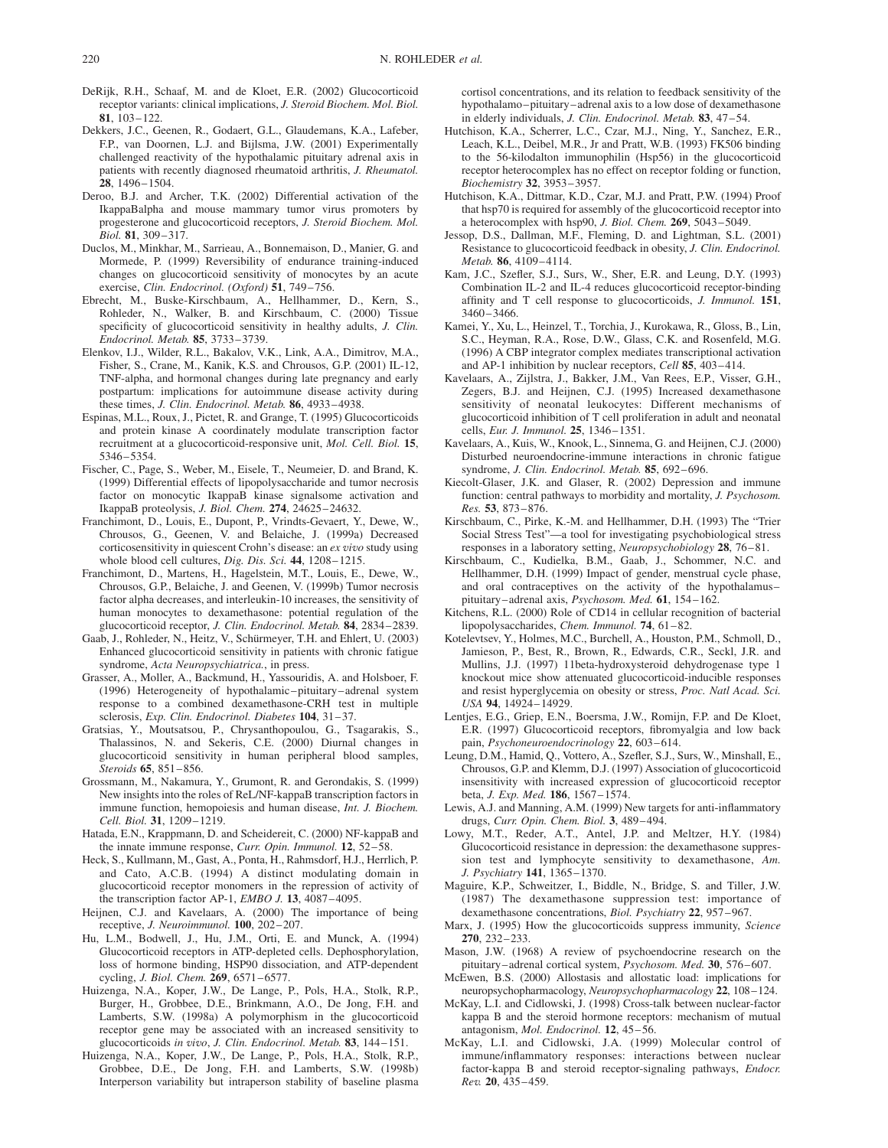- DeRijk, R.H., Schaaf, M. and de Kloet, E.R. (2002) Glucocorticoid receptor variants: clinical implications, J. Steroid Biochem. Mol. Biol. 81, 103–122.
- Dekkers, J.C., Geenen, R., Godaert, G.L., Glaudemans, K.A., Lafeber, F.P., van Doornen, L.J. and Bijlsma, J.W. (2001) Experimentally challenged reactivity of the hypothalamic pituitary adrenal axis in patients with recently diagnosed rheumatoid arthritis, J. Rheumatol. 28, 1496–1504.
- Deroo, B.J. and Archer, T.K. (2002) Differential activation of the IkappaBalpha and mouse mammary tumor virus promoters by progesterone and glucocorticoid receptors, J. Steroid Biochem. Mol. Biol. 81, 309–317.
- Duclos, M., Minkhar, M., Sarrieau, A., Bonnemaison, D., Manier, G. and Mormede, P. (1999) Reversibility of endurance training-induced changes on glucocorticoid sensitivity of monocytes by an acute exercise, Clin. Endocrinol. (Oxford) 51, 749–756.
- Ebrecht, M., Buske-Kirschbaum, A., Hellhammer, D., Kern, S., Rohleder, N., Walker, B. and Kirschbaum, C. (2000) Tissue specificity of glucocorticoid sensitivity in healthy adults, J. Clin. Endocrinol. Metab. 85, 3733–3739.
- Elenkov, I.J., Wilder, R.L., Bakalov, V.K., Link, A.A., Dimitrov, M.A., Fisher, S., Crane, M., Kanik, K.S. and Chrousos, G.P. (2001) IL-12, TNF-alpha, and hormonal changes during late pregnancy and early postpartum: implications for autoimmune disease activity during these times, J. Clin. Endocrinol. Metab. 86, 4933-4938.
- Espinas, M.L., Roux, J., Pictet, R. and Grange, T. (1995) Glucocorticoids and protein kinase A coordinately modulate transcription factor recruitment at a glucocorticoid-responsive unit, Mol. Cell. Biol. 15, 5346–5354.
- Fischer, C., Page, S., Weber, M., Eisele, T., Neumeier, D. and Brand, K. (1999) Differential effects of lipopolysaccharide and tumor necrosis factor on monocytic IkappaB kinase signalsome activation and IkappaB proteolysis, J. Biol. Chem. 274, 24625–24632.
- Franchimont, D., Louis, E., Dupont, P., Vrindts-Gevaert, Y., Dewe, W., Chrousos, G., Geenen, V. and Belaiche, J. (1999a) Decreased corticosensitivity in quiescent Crohn's disease: an ex vivo study using whole blood cell cultures, Dig. Dis. Sci. 44, 1208-1215.
- Franchimont, D., Martens, H., Hagelstein, M.T., Louis, E., Dewe, W., Chrousos, G.P., Belaiche, J. and Geenen, V. (1999b) Tumor necrosis factor alpha decreases, and interleukin-10 increases, the sensitivity of human monocytes to dexamethasone: potential regulation of the glucocorticoid receptor, J. Clin. Endocrinol. Metab. 84, 2834–2839.
- Gaab, J., Rohleder, N., Heitz, V., Schürmeyer, T.H. and Ehlert, U. (2003) Enhanced glucocorticoid sensitivity in patients with chronic fatigue syndrome, Acta Neuropsychiatrica., in press.
- Grasser, A., Moller, A., Backmund, H., Yassouridis, A. and Holsboer, F. (1996) Heterogeneity of hypothalamic–pituitary–adrenal system response to a combined dexamethasone-CRH test in multiple sclerosis, Exp. Clin. Endocrinol. Diabetes 104, 31-37.
- Gratsias, Y., Moutsatsou, P., Chrysanthopoulou, G., Tsagarakis, S., Thalassinos, N. and Sekeris, C.E. (2000) Diurnal changes in glucocorticoid sensitivity in human peripheral blood samples, Steroids 65, 851–856.
- Grossmann, M., Nakamura, Y., Grumont, R. and Gerondakis, S. (1999) New insights into the roles of ReL/NF-kappaB transcription factors in immune function, hemopoiesis and human disease, Int. J. Biochem. Cell. Biol. 31, 1209–1219.
- Hatada, E.N., Krappmann, D. and Scheidereit, C. (2000) NF-kappaB and the innate immune response, Curr. Opin. Immunol. 12, 52–58.
- Heck, S., Kullmann, M., Gast, A., Ponta, H., Rahmsdorf, H.J., Herrlich, P. and Cato, A.C.B. (1994) A distinct modulating domain in glucocorticoid receptor monomers in the repression of activity of the transcription factor AP-1, EMBO J. 13, 4087–4095.
- Heijnen, C.J. and Kavelaars, A. (2000) The importance of being receptive, J. Neuroimmunol. 100, 202–207.
- Hu, L.M., Bodwell, J., Hu, J.M., Orti, E. and Munck, A. (1994) Glucocorticoid receptors in ATP-depleted cells. Dephosphorylation, loss of hormone binding, HSP90 dissociation, and ATP-dependent cycling, J. Biol. Chem. 269, 6571–6577.
- Huizenga, N.A., Koper, J.W., De Lange, P., Pols, H.A., Stolk, R.P., Burger, H., Grobbee, D.E., Brinkmann, A.O., De Jong, F.H. and Lamberts, S.W. (1998a) A polymorphism in the glucocorticoid receptor gene may be associated with an increased sensitivity to glucocorticoids in vivo, J. Clin. Endocrinol. Metab. 83, 144–151.
- Huizenga, N.A., Koper, J.W., De Lange, P., Pols, H.A., Stolk, R.P., Grobbee, D.E., De Jong, F.H. and Lamberts, S.W. (1998b) Interperson variability but intraperson stability of baseline plasma

cortisol concentrations, and its relation to feedback sensitivity of the hypothalamo–pituitary–adrenal axis to a low dose of dexamethasone in elderly individuals, J. Clin. Endocrinol. Metab. 83, 47–54.

- Hutchison, K.A., Scherrer, L.C., Czar, M.J., Ning, Y., Sanchez, E.R., Leach, K.L., Deibel, M.R., Jr and Pratt, W.B. (1993) FK506 binding to the 56-kilodalton immunophilin (Hsp56) in the glucocorticoid receptor heterocomplex has no effect on receptor folding or function, Biochemistry 32, 3953–3957.
- Hutchison, K.A., Dittmar, K.D., Czar, M.J. and Pratt, P.W. (1994) Proof that hsp70 is required for assembly of the glucocorticoid receptor into a heterocomplex with hsp90, J. Biol. Chem. 269, 5043–5049.
- Jessop, D.S., Dallman, M.F., Fleming, D. and Lightman, S.L. (2001) Resistance to glucocorticoid feedback in obesity, J. Clin. Endocrinol. Metab. 86, 4109–4114.
- Kam, J.C., Szefler, S.J., Surs, W., Sher, E.R. and Leung, D.Y. (1993) Combination IL-2 and IL-4 reduces glucocorticoid receptor-binding affinity and T cell response to glucocorticoids, J. Immunol. 151, 3460–3466.
- Kamei, Y., Xu, L., Heinzel, T., Torchia, J., Kurokawa, R., Gloss, B., Lin, S.C., Heyman, R.A., Rose, D.W., Glass, C.K. and Rosenfeld, M.G. (1996) A CBP integrator complex mediates transcriptional activation and AP-1 inhibition by nuclear receptors, Cell 85, 403–414.
- Kavelaars, A., Zijlstra, J., Bakker, J.M., Van Rees, E.P., Visser, G.H., Zegers, B.J. and Heijnen, C.J. (1995) Increased dexamethasone sensitivity of neonatal leukocytes: Different mechanisms of glucocorticoid inhibition of T cell proliferation in adult and neonatal cells, Eur. J. Immunol. 25, 1346–1351.
- Kavelaars, A., Kuis, W., Knook, L., Sinnema, G. and Heijnen, C.J. (2000) Disturbed neuroendocrine-immune interactions in chronic fatigue syndrome, J. Clin. Endocrinol. Metab. 85, 692-696.
- Kiecolt-Glaser, J.K. and Glaser, R. (2002) Depression and immune function: central pathways to morbidity and mortality, J. Psychosom. Res. 53, 873–876.
- Kirschbaum, C., Pirke, K.-M. and Hellhammer, D.H. (1993) The "Trier Social Stress Test"—a tool for investigating psychobiological stress responses in a laboratory setting, Neuropsychobiology 28, 76–81.
- Kirschbaum, C., Kudielka, B.M., Gaab, J., Schommer, N.C. and Hellhammer, D.H. (1999) Impact of gender, menstrual cycle phase, and oral contraceptives on the activity of the hypothalamus– pituitary–adrenal axis, Psychosom. Med. 61, 154–162.
- Kitchens, R.L. (2000) Role of CD14 in cellular recognition of bacterial lipopolysaccharides, Chem. Immunol. 74, 61–82.
- Kotelevtsev, Y., Holmes, M.C., Burchell, A., Houston, P.M., Schmoll, D., Jamieson, P., Best, R., Brown, R., Edwards, C.R., Seckl, J.R. and Mullins, J.J. (1997) 11beta-hydroxysteroid dehydrogenase type 1 knockout mice show attenuated glucocorticoid-inducible responses and resist hyperglycemia on obesity or stress, Proc. Natl Acad. Sci. USA 94, 14924–14929.
- Lentjes, E.G., Griep, E.N., Boersma, J.W., Romijn, F.P. and De Kloet, E.R. (1997) Glucocorticoid receptors, fibromyalgia and low back pain, Psychoneuroendocrinology 22, 603–614.
- Leung, D.M., Hamid, Q., Vottero, A., Szefler, S.J., Surs, W., Minshall, E., Chrousos, G.P. and Klemm, D.J. (1997) Association of glucocorticoid insensitivity with increased expression of glucocorticoid receptor beta, J. Exp. Med. 186, 1567–1574.
- Lewis, A.J. and Manning, A.M. (1999) New targets for anti-inflammatory drugs, Curr. Opin. Chem. Biol. 3, 489–494.
- Lowy, M.T., Reder, A.T., Antel, J.P. and Meltzer, H.Y. (1984) Glucocorticoid resistance in depression: the dexamethasone suppression test and lymphocyte sensitivity to dexamethasone, Am. J. Psychiatry 141, 1365–1370.
- Maguire, K.P., Schweitzer, I., Biddle, N., Bridge, S. and Tiller, J.W. (1987) The dexamethasone suppression test: importance of dexamethasone concentrations, Biol. Psychiatry 22, 957–967.
- Marx, J. (1995) How the glucocorticoids suppress immunity, Science 270, 232–233.
- Mason, J.W. (1968) A review of psychoendocrine research on the pituitary–adrenal cortical system, Psychosom. Med. 30, 576–607.
- McEwen, B.S. (2000) Allostasis and allostatic load: implications for neuropsychopharmacology, Neuropsychopharmacology 22, 108–124.
- McKay, L.I. and Cidlowski, J. (1998) Cross-talk between nuclear-factor kappa B and the steroid hormone receptors: mechanism of mutual antagonism, Mol. Endocrinol. 12, 45–56.
- McKay, L.I. and Cidlowski, J.A. (1999) Molecular control of immune/inflammatory responses: interactions between nuclear factor-kappa B and steroid receptor-signaling pathways, Endocr. Rev. 20, 435–459.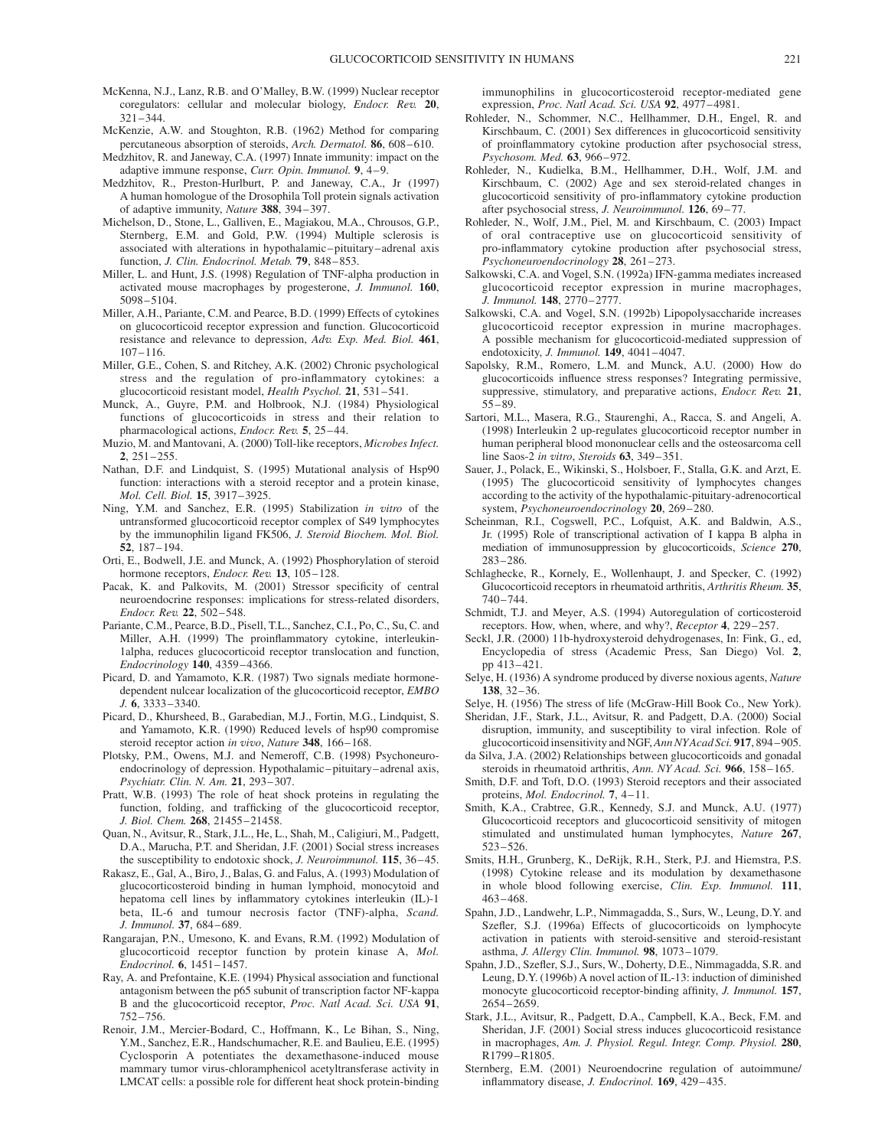- McKenna, N.J., Lanz, R.B. and O'Malley, B.W. (1999) Nuclear receptor coregulators: cellular and molecular biology, Endocr. Rev. 20, 321–344.
- McKenzie, A.W. and Stoughton, R.B. (1962) Method for comparing percutaneous absorption of steroids, Arch. Dermatol. 86, 608–610.

Medzhitov, R. and Janeway, C.A. (1997) Innate immunity: impact on the adaptive immune response, Curr. Opin. Immunol. 9, 4–9.

- Medzhitov, R., Preston-Hurlburt, P. and Janeway, C.A., Jr (1997) A human homologue of the Drosophila Toll protein signals activation of adaptive immunity, Nature 388, 394–397.
- Michelson, D., Stone, L., Galliven, E., Magiakou, M.A., Chrousos, G.P., Sternberg, E.M. and Gold, P.W. (1994) Multiple sclerosis is associated with alterations in hypothalamic–pituitary–adrenal axis function, J. Clin. Endocrinol. Metab. 79, 848–853.
- Miller, L. and Hunt, J.S. (1998) Regulation of TNF-alpha production in activated mouse macrophages by progesterone, J. Immunol. 160, 5098–5104.
- Miller, A.H., Pariante, C.M. and Pearce, B.D. (1999) Effects of cytokines on glucocorticoid receptor expression and function. Glucocorticoid resistance and relevance to depression, Adv. Exp. Med. Biol. 461, 107–116.
- Miller, G.E., Cohen, S. and Ritchey, A.K. (2002) Chronic psychological stress and the regulation of pro-inflammatory cytokines: a glucocorticoid resistant model, Health Psychol. 21, 531–541.
- Munck, A., Guyre, P.M. and Holbrook, N.J. (1984) Physiological functions of glucocorticoids in stress and their relation to pharmacological actions, Endocr. Rev. 5, 25–44.
- Muzio, M. and Mantovani, A. (2000) Toll-like receptors, Microbes Infect. 2, 251–255.
- Nathan, D.F. and Lindquist, S. (1995) Mutational analysis of Hsp90 function: interactions with a steroid receptor and a protein kinase, Mol. Cell. Biol. 15, 3917–3925.
- Ning, Y.M. and Sanchez, E.R. (1995) Stabilization in vitro of the untransformed glucocorticoid receptor complex of S49 lymphocytes by the immunophilin ligand FK506, J. Steroid Biochem. Mol. Biol. 52, 187–194.
- Orti, E., Bodwell, J.E. and Munck, A. (1992) Phosphorylation of steroid hormone receptors, Endocr. Rev. 13, 105-128.
- Pacak, K. and Palkovits, M. (2001) Stressor specificity of central neuroendocrine responses: implications for stress-related disorders, Endocr. Rev. 22, 502–548.
- Pariante, C.M., Pearce, B.D., Pisell, T.L., Sanchez, C.I., Po, C., Su, C. and Miller, A.H. (1999) The proinflammatory cytokine, interleukin-1alpha, reduces glucocorticoid receptor translocation and function, Endocrinology 140, 4359–4366.
- Picard, D. and Yamamoto, K.R. (1987) Two signals mediate hormonedependent nulcear localization of the glucocorticoid receptor, EMBO J. 6, 3333–3340.
- Picard, D., Khursheed, B., Garabedian, M.J., Fortin, M.G., Lindquist, S. and Yamamoto, K.R. (1990) Reduced levels of hsp90 compromise steroid receptor action in vivo, Nature 348, 166–168.
- Plotsky, P.M., Owens, M.J. and Nemeroff, C.B. (1998) Psychoneuroendocrinology of depression. Hypothalamic–pituitary–adrenal axis, Psychiatr. Clin. N. Am. 21, 293–307.
- Pratt, W.B. (1993) The role of heat shock proteins in regulating the function, folding, and trafficking of the glucocorticoid receptor, J. Biol. Chem. 268, 21455–21458.
- Quan, N., Avitsur, R., Stark, J.L., He, L., Shah, M., Caligiuri, M., Padgett, D.A., Marucha, P.T. and Sheridan, J.F. (2001) Social stress increases the susceptibility to endotoxic shock, J. Neuroimmunol. 115, 36–45.
- Rakasz, E., Gal, A., Biro, J., Balas, G. and Falus, A. (1993) Modulation of glucocorticosteroid binding in human lymphoid, monocytoid and hepatoma cell lines by inflammatory cytokines interleukin (IL)-1 beta, IL-6 and tumour necrosis factor (TNF)-alpha, Scand. J. Immunol. 37, 684–689.
- Rangarajan, P.N., Umesono, K. and Evans, R.M. (1992) Modulation of glucocorticoid receptor function by protein kinase A, Mol. Endocrinol. 6, 1451–1457.
- Ray, A. and Prefontaine, K.E. (1994) Physical association and functional antagonism between the p65 subunit of transcription factor NF-kappa B and the glucocorticoid receptor, Proc. Natl Acad. Sci. USA 91, 752–756.
- Renoir, J.M., Mercier-Bodard, C., Hoffmann, K., Le Bihan, S., Ning, Y.M., Sanchez, E.R., Handschumacher, R.E. and Baulieu, E.E. (1995) Cyclosporin A potentiates the dexamethasone-induced mouse mammary tumor virus-chloramphenicol acetyltransferase activity in LMCAT cells: a possible role for different heat shock protein-binding

immunophilins in glucocorticosteroid receptor-mediated gene expression, Proc. Natl Acad. Sci. USA 92, 4977–4981.

- Rohleder, N., Schommer, N.C., Hellhammer, D.H., Engel, R. and Kirschbaum, C. (2001) Sex differences in glucocorticoid sensitivity of proinflammatory cytokine production after psychosocial stress, Psychosom. Med. 63, 966–972.
- Rohleder, N., Kudielka, B.M., Hellhammer, D.H., Wolf, J.M. and Kirschbaum, C. (2002) Age and sex steroid-related changes in glucocorticoid sensitivity of pro-inflammatory cytokine production after psychosocial stress, J. Neuroimmunol. 126, 69–77.
- Rohleder, N., Wolf, J.M., Piel, M. and Kirschbaum, C. (2003) Impact of oral contraceptive use on glucocorticoid sensitivity of pro-inflammatory cytokine production after psychosocial stress, Psychoneuroendocrinology 28, 261–273.
- Salkowski, C.A. and Vogel, S.N. (1992a) IFN-gamma mediates increased glucocorticoid receptor expression in murine macrophages, J. Immunol. 148, 2770–2777.
- Salkowski, C.A. and Vogel, S.N. (1992b) Lipopolysaccharide increases glucocorticoid receptor expression in murine macrophages. A possible mechanism for glucocorticoid-mediated suppression of endotoxicity, J. Immunol. 149, 4041–4047.
- Sapolsky, R.M., Romero, L.M. and Munck, A.U. (2000) How do glucocorticoids influence stress responses? Integrating permissive, suppressive, stimulatory, and preparative actions, *Endocr. Rev.* 21, 55–89.
- Sartori, M.L., Masera, R.G., Staurenghi, A., Racca, S. and Angeli, A. (1998) Interleukin 2 up-regulates glucocorticoid receptor number in human peripheral blood mononuclear cells and the osteosarcoma cell line Saos-2 in vitro, Steroids 63, 349–351.
- Sauer, J., Polack, E., Wikinski, S., Holsboer, F., Stalla, G.K. and Arzt, E. (1995) The glucocorticoid sensitivity of lymphocytes changes according to the activity of the hypothalamic-pituitary-adrenocortical system, Psychoneuroendocrinology 20, 269–280.
- Scheinman, R.I., Cogswell, P.C., Lofquist, A.K. and Baldwin, A.S., Jr. (1995) Role of transcriptional activation of I kappa B alpha in mediation of immunosuppression by glucocorticoids, Science 270, 283–286.
- Schlaghecke, R., Kornely, E., Wollenhaupt, J. and Specker, C. (1992) Glucocorticoid receptors in rheumatoid arthritis, Arthritis Rheum. 35, 740–744.
- Schmidt, T.J. and Meyer, A.S. (1994) Autoregulation of corticosteroid receptors. How, when, where, and why?, Receptor 4, 229–257.
- Seckl, J.R. (2000) 11b-hydroxysteroid dehydrogenases, In: Fink, G., ed, Encyclopedia of stress (Academic Press, San Diego) Vol. 2, pp 413–421.
- Selye, H. (1936) A syndrome produced by diverse noxious agents, Nature 138, 32–36.
- Selye, H. (1956) The stress of life (McGraw-Hill Book Co., New York). Sheridan, J.F., Stark, J.L., Avitsur, R. and Padgett, D.A. (2000) Social
- disruption, immunity, and susceptibility to viral infection. Role of glucocorticoid insensitivity and NGF,Ann NYAcad Sci. 917, 894–905.
- da Silva, J.A. (2002) Relationships between glucocorticoids and gonadal steroids in rheumatoid arthritis, Ann. NY Acad. Sci. 966, 158-165.
- Smith, D.F. and Toft, D.O. (1993) Steroid receptors and their associated proteins, Mol. Endocrinol. 7, 4–11.
- Smith, K.A., Crabtree, G.R., Kennedy, S.J. and Munck, A.U. (1977) Glucocorticoid receptors and glucocorticoid sensitivity of mitogen stimulated and unstimulated human lymphocytes, Nature 267, 523–526.
- Smits, H.H., Grunberg, K., DeRijk, R.H., Sterk, P.J. and Hiemstra, P.S. (1998) Cytokine release and its modulation by dexamethasone in whole blood following exercise, Clin. Exp. Immunol. 111, 463–468.
- Spahn, J.D., Landwehr, L.P., Nimmagadda, S., Surs, W., Leung, D.Y. and Szefler, S.J. (1996a) Effects of glucocorticoids on lymphocyte activation in patients with steroid-sensitive and steroid-resistant asthma, J. Allergy Clin. Immunol. 98, 1073–1079.
- Spahn, J.D., Szefler, S.J., Surs, W., Doherty, D.E., Nimmagadda, S.R. and Leung, D.Y. (1996b) A novel action of IL-13: induction of diminished monocyte glucocorticoid receptor-binding affinity, J. Immunol. 157, 2654–2659.
- Stark, J.L., Avitsur, R., Padgett, D.A., Campbell, K.A., Beck, F.M. and Sheridan, J.F. (2001) Social stress induces glucocorticoid resistance in macrophages, Am. J. Physiol. Regul. Integr. Comp. Physiol. 280, R1799–R1805.
- Sternberg, E.M. (2001) Neuroendocrine regulation of autoimmune/ inflammatory disease, J. Endocrinol. 169, 429–435.